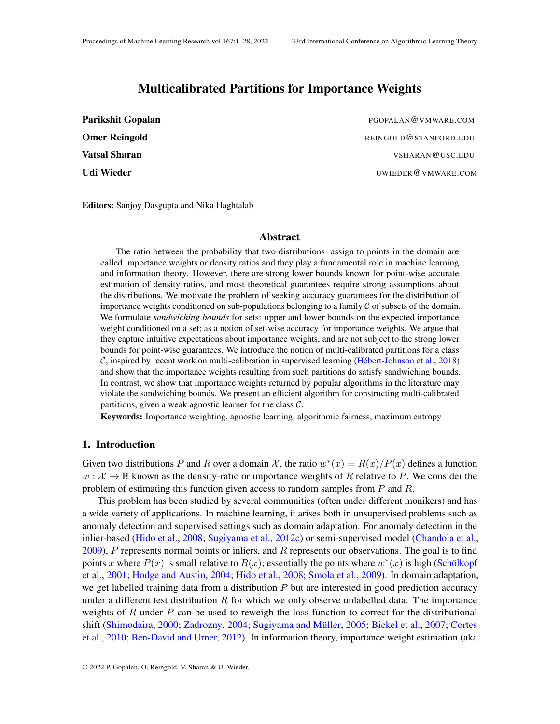# Multicalibrated Partitions for Importance Weights

<span id="page-0-0"></span>

| <b>Parikshit Gopalan</b> | PGOPALAN@VMWARE.COM   |
|--------------------------|-----------------------|
| <b>Omer Reingold</b>     | REINGOLD@STANFORD.EDU |
| <b>Vatsal Sharan</b>     | VSHARAN@USC.EDU       |
| Udi Wieder               | UWIEDER@VMWARE.COM    |

Editors: Sanjoy Dasgupta and Nika Haghtalab

#### Abstract

The ratio between the probability that two distributions assign to points in the domain are called importance weights or density ratios and they play a fundamental role in machine learning and information theory. However, there are strong lower bounds known for point-wise accurate estimation of density ratios, and most theoretical guarantees require strong assumptions about the distributions. We motivate the problem of seeking accuracy guarantees for the distribution of importance weights conditioned on sub-populations belonging to a family C of subsets of the domain. We formulate *sandwiching bounds* for sets: upper and lower bounds on the expected importance weight conditioned on a set; as a notion of set-wise accuracy for importance weights. We argue that they capture intuitive expectations about importance weights, and are not subject to the strong lower bounds for point-wise guarantees. We introduce the notion of multi-calibrated partitions for a class C, inspired by recent work on multi-calibration in supervised learning [\(Hébert-Johnson et al.,](#page-13-0) [2018\)](#page-13-0) and show that the importance weights resulting from such partitions do satisfy sandwiching bounds. In contrast, we show that importance weights returned by popular algorithms in the literature may violate the sandwiching bounds. We present an efficient algorithm for constructing multi-calibrated partitions, given a weak agnostic learner for the class  $C$ .

Keywords: Importance weighting, agnostic learning, algorithmic fairness, maximum entropy

### <span id="page-0-1"></span>1. Introduction

Given two distributions P and R over a domain X, the ratio  $w^*(x) = R(x)/P(x)$  defines a function  $w : \mathcal{X} \to \mathbb{R}$  known as the density-ratio or importance weights of R relative to P. We consider the problem of estimating this function given access to random samples from  $P$  and  $R$ .

This problem has been studied by several communities (often under different monikers) and has a wide variety of applications. In machine learning, it arises both in unsupervised problems such as anomaly detection and supervised settings such as domain adaptation. For anomaly detection in the inlier-based [\(Hido et al.,](#page-13-1) [2008;](#page-13-1) [Sugiyama et al.,](#page-15-0) [2012c\)](#page-15-0) or semi-supervised model [\(Chandola et al.,](#page-12-0)  $2009$ ), P represents normal points or inliers, and R represents our observations. The goal is to find points x where  $P(x)$  is small relative to  $R(x)$ ; essentially the points where  $w^*(x)$  is high [\(Schölkopf](#page-14-0) [et al.,](#page-14-0) [2001;](#page-14-0) [Hodge and Austin,](#page-13-2) [2004;](#page-13-2) [Hido et al.,](#page-13-1) [2008;](#page-13-1) [Smola et al.,](#page-14-1) [2009\)](#page-14-1). In domain adaptation, we get labelled training data from a distribution  $P$  but are interested in good prediction accuracy under a different test distribution  $R$  for which we only observe unlabelled data. The importance weights of R under P can be used to reweigh the loss function to correct for the distributional shift [\(Shimodaira,](#page-14-2) [2000;](#page-14-2) [Zadrozny,](#page-15-1) [2004;](#page-15-1) [Sugiyama and Müller,](#page-14-3) [2005;](#page-14-3) [Bickel et al.,](#page-12-1) [2007;](#page-12-1) [Cortes](#page-12-2) [et al.,](#page-12-2) [2010;](#page-12-2) [Ben-David and Urner,](#page-12-3) [2012\)](#page-12-3). In information theory, importance weight estimation (aka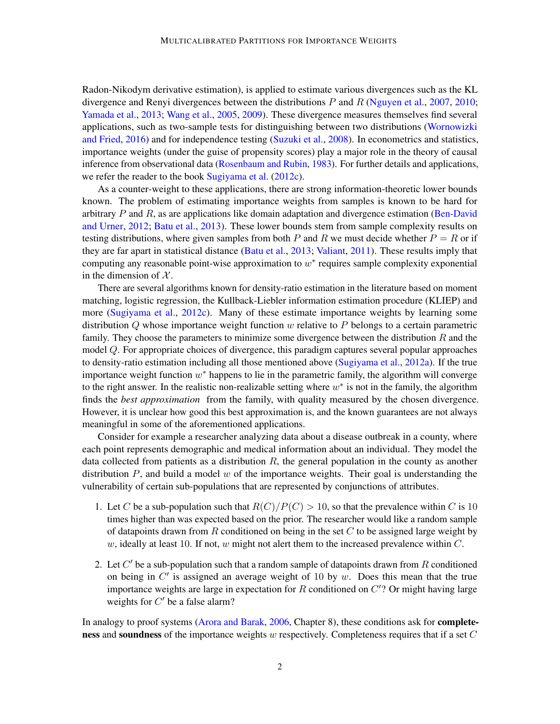Radon-Nikodym derivative estimation), is applied to estimate various divergences such as the KL divergence and Renyi divergences between the distributions  $P$  and  $R$  [\(Nguyen et al.,](#page-14-4) [2007,](#page-14-4) [2010;](#page-14-5) [Yamada et al.,](#page-15-2) [2013;](#page-15-2) [Wang et al.,](#page-15-3) [2005,](#page-15-3) [2009\)](#page-15-4). These divergence measures themselves find several applications, such as two-sample tests for distinguishing between two distributions [\(Wornowizki](#page-15-5) [and Fried,](#page-15-5) [2016\)](#page-15-5) and for independence testing [\(Suzuki et al.,](#page-15-6) [2008\)](#page-15-6). In econometrics and statistics, importance weights (under the guise of propensity scores) play a major role in the theory of causal inference from observational data [\(Rosenbaum and Rubin,](#page-14-6) [1983\)](#page-14-6). For further details and applications, we refer the reader to the book [Sugiyama et al.](#page-15-0) [\(2012c\)](#page-15-0).

As a counter-weight to these applications, there are strong information-theoretic lower bounds known. The problem of estimating importance weights from samples is known to be hard for arbitrary  $P$  and  $R$ , as are applications like domain adaptation and divergence estimation [\(Ben-David](#page-12-3) [and Urner,](#page-12-3) [2012;](#page-12-3) [Batu et al.,](#page-12-4) [2013\)](#page-12-4). These lower bounds stem from sample complexity results on testing distributions, where given samples from both P and R we must decide whether  $P = R$  or if they are far apart in statistical distance [\(Batu et al.,](#page-12-4) [2013;](#page-12-4) [Valiant,](#page-15-7) [2011\)](#page-15-7). These results imply that computing any reasonable point-wise approximation to  $w^*$  requires sample complexity exponential in the dimension of  $X$ .

There are several algorithms known for density-ratio estimation in the literature based on moment matching, logistic regression, the Kullback-Liebler information estimation procedure (KLIEP) and more [\(Sugiyama et al.,](#page-15-0) [2012c\)](#page-15-0). Many of these estimate importance weights by learning some distribution  $Q$  whose importance weight function  $w$  relative to  $P$  belongs to a certain parametric family. They choose the parameters to minimize some divergence between the distribution  $R$  and the model Q. For appropriate choices of divergence, this paradigm captures several popular approaches to density-ratio estimation including all those mentioned above [\(Sugiyama et al.,](#page-14-7) [2012a\)](#page-14-7). If the true importance weight function  $w^*$  happens to lie in the parametric family, the algorithm will converge to the right answer. In the realistic non-realizable setting where  $w^*$  is not in the family, the algorithm finds the *best approximation* from the family, with quality measured by the chosen divergence. However, it is unclear how good this best approximation is, and the known guarantees are not always meaningful in some of the aforementioned applications.

Consider for example a researcher analyzing data about a disease outbreak in a county, where each point represents demographic and medical information about an individual. They model the data collected from patients as a distribution  $R$ , the general population in the county as another distribution  $P$ , and build a model  $w$  of the importance weights. Their goal is understanding the vulnerability of certain sub-populations that are represented by conjunctions of attributes.

- 1. Let C be a sub-population such that  $R(C)/P(C) > 10$ , so that the prevalence within C is 10 times higher than was expected based on the prior. The researcher would like a random sample of datapoints drawn from  $R$  conditioned on being in the set  $C$  to be assigned large weight by w, ideally at least 10. If not, w might not alert them to the increased prevalence within  $C$ .
- 2. Let  $C'$  be a sub-population such that a random sample of datapoints drawn from  $R$  conditioned on being in  $C'$  is assigned an average weight of 10 by  $w$ . Does this mean that the true importance weights are large in expectation for  $R$  conditioned on  $C$ ? Or might having large weights for  $C'$  be a false alarm?

In analogy to proof systems [\(Arora and Barak,](#page-12-5) [2006,](#page-12-5) Chapter 8), these conditions ask for **complete**ness and soundness of the importance weights w respectively. Completeness requires that if a set  $C$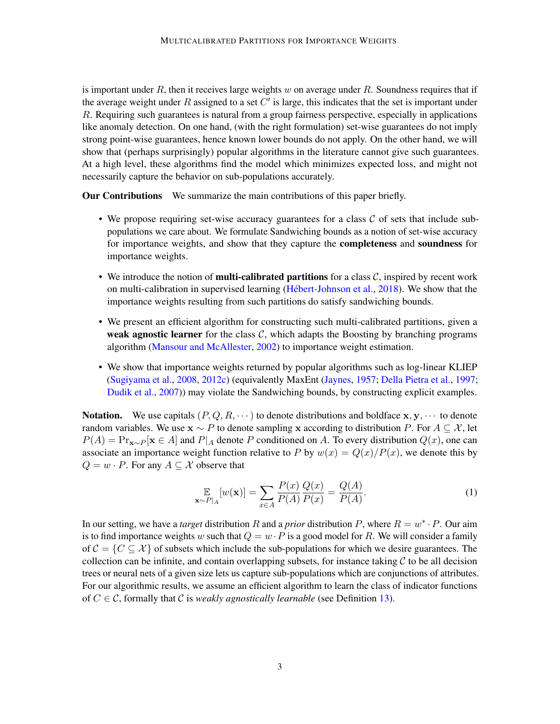is important under  $R$ , then it receives large weights w on average under  $R$ . Soundness requires that if the average weight under R assigned to a set  $C'$  is large, this indicates that the set is important under R. Requiring such guarantees is natural from a group fairness perspective, especially in applications like anomaly detection. On one hand, (with the right formulation) set-wise guarantees do not imply strong point-wise guarantees, hence known lower bounds do not apply. On the other hand, we will show that (perhaps surprisingly) popular algorithms in the literature cannot give such guarantees. At a high level, these algorithms find the model which minimizes expected loss, and might not necessarily capture the behavior on sub-populations accurately.

Our Contributions We summarize the main contributions of this paper briefly.

- We propose requiring set-wise accuracy guarantees for a class  $\mathcal C$  of sets that include subpopulations we care about. We formulate Sandwiching bounds as a notion of set-wise accuracy for importance weights, and show that they capture the completeness and soundness for importance weights.
- We introduce the notion of **multi-calibrated partitions** for a class  $C$ , inspired by recent work on multi-calibration in supervised learning [\(Hébert-Johnson et al.,](#page-13-0) [2018\)](#page-13-0). We show that the importance weights resulting from such partitions do satisfy sandwiching bounds.
- We present an efficient algorithm for constructing such multi-calibrated partitions, given a weak agnostic learner for the class  $C$ , which adapts the Boosting by branching programs algorithm [\(Mansour and McAllester,](#page-14-8) [2002\)](#page-14-8) to importance weight estimation.
- We show that importance weights returned by popular algorithms such as log-linear KLIEP [\(Sugiyama et al.,](#page-14-9) [2008,](#page-14-9) [2012c\)](#page-15-0) (equivalently MaxEnt [\(Jaynes,](#page-13-3) [1957;](#page-13-3) [Della Pietra et al.,](#page-12-6) [1997;](#page-12-6) [Dudik et al.,](#page-13-4) [2007\)](#page-13-4)) may violate the Sandwiching bounds, by constructing explicit examples.

**Notation.** We use capitals  $(P, Q, R, \dots)$  to denote distributions and boldface  $x, y, \dots$  to denote random variables. We use  $x \sim P$  to denote sampling x according to distribution P. For  $A \subset \mathcal{X}$ , let  $P(A) = \Pr_{\mathbf{x} \sim P}[\mathbf{x} \in A]$  and  $P|_A$  denote P conditioned on A. To every distribution  $Q(x)$ , one can associate an importance weight function relative to P by  $w(x) = Q(x)/P(x)$ , we denote this by  $Q = w \cdot P$ . For any  $A \subseteq \mathcal{X}$  observe that

<span id="page-2-0"></span>
$$
\mathop{\mathbb{E}}_{\mathbf{x} \sim P|_{A}}[w(\mathbf{x})] = \sum_{x \in A} \frac{P(x)}{P(A)} \frac{Q(x)}{P(x)} = \frac{Q(A)}{P(A)}.
$$
\n(1)

In our setting, we have a *target* distribution R and a *prior* distribution P, where  $R = w^* \cdot P$ . Our aim is to find importance weights w such that  $Q = w \cdot P$  is a good model for R. We will consider a family of  $C = \{C \subseteq \mathcal{X}\}\$  of subsets which include the sub-populations for which we desire guarantees. The collection can be infinite, and contain overlapping subsets, for instance taking  $\mathcal C$  to be all decision trees or neural nets of a given size lets us capture sub-populations which are conjunctions of attributes. For our algorithmic results, we assume an efficient algorithm to learn the class of indicator functions of  $C \in \mathcal{C}$ , formally that  $\mathcal C$  is *weakly agnostically learnable* (see Definition [13\)](#page-8-0).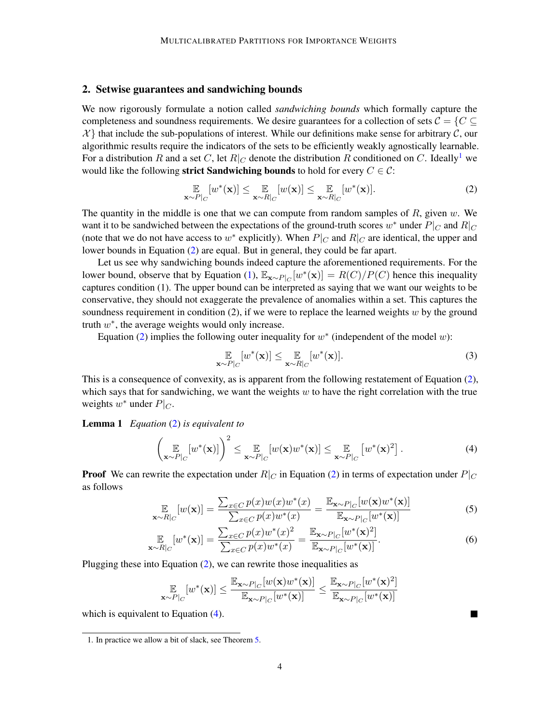# 2. Setwise guarantees and sandwiching bounds

We now rigorously formulate a notion called *sandwiching bounds* which formally capture the completeness and soundness requirements. We desire guarantees for a collection of sets  $C = \{C \subseteq \mathbb{R}\}$  $\mathcal{X}$  that include the sub-populations of interest. While our definitions make sense for arbitrary  $\mathcal{C}$ , our algorithmic results require the indicators of the sets to be efficiently weakly agnostically learnable. For a distribution R and a set C, let  $R|_C$  denote the distribution R conditioned on C. Ideally<sup>[1](#page-3-0)</sup> we would like the following strict Sandwiching bounds to hold for every  $C \in \mathcal{C}$ :

<span id="page-3-1"></span>
$$
\mathop{\mathbb{E}}_{\mathbf{x} \sim P|_C} [w^*(\mathbf{x})] \leq \mathop{\mathbb{E}}_{\mathbf{x} \sim R|_C} [w(\mathbf{x})] \leq \mathop{\mathbb{E}}_{\mathbf{x} \sim R|_C} [w^*(\mathbf{x})]. \tag{2}
$$

The quantity in the middle is one that we can compute from random samples of  $R$ , given  $w$ . We want it to be sandwiched between the expectations of the ground-truth scores  $w^*$  under  $P|_C$  and  $R|_C$ (note that we do not have access to  $w^*$  explicitly). When  $P|_C$  and  $R|_C$  are identical, the upper and lower bounds in Equation [\(2\)](#page-3-1) are equal. But in general, they could be far apart.

Let us see why sandwiching bounds indeed capture the aforementioned requirements. For the lower bound, observe that by Equation [\(1\)](#page-2-0),  $\mathbb{E}_{\mathbf{x} \sim P|_C}[w^*(\mathbf{x})] = R(C)/P(C)$  hence this inequality captures condition (1). The upper bound can be interpreted as saying that we want our weights to be conservative, they should not exaggerate the prevalence of anomalies within a set. This captures the soundness requirement in condition  $(2)$ , if we were to replace the learned weights w by the ground truth  $w^*$ , the average weights would only increase.

Equation [\(2\)](#page-3-1) implies the following outer inequality for  $w^*$  (independent of the model w):

$$
\mathbb{E}_{\mathbf{x} \sim P|_C} [w^*(\mathbf{x})] \leq \mathbb{E}_{\mathbf{x} \sim R|_C} [w^*(\mathbf{x})]. \tag{3}
$$

This is a consequence of convexity, as is apparent from the following restatement of Equation [\(2\)](#page-3-1), which says that for sandwiching, we want the weights  $w$  to have the right correlation with the true weights  $w^*$  under  $P|_C$ .

### <span id="page-3-3"></span>Lemma 1 *Equation* [\(2\)](#page-3-1) *is equivalent to*

$$
\left(\mathop{\mathbb{E}}_{\mathbf{x} \sim P|_{C}}[w^{*}(\mathbf{x})]\right)^{2} \leq \mathop{\mathbb{E}}_{\mathbf{x} \sim P|_{C}}[w(\mathbf{x})w^{*}(\mathbf{x})] \leq \mathop{\mathbb{E}}_{\mathbf{x} \sim P|_{C}}[w^{*}(\mathbf{x})^{2}].
$$
\n(4)

**Proof** We can rewrite the expectation under  $R|_C$  in Equation [\(2\)](#page-3-1) in terms of expectation under  $P|_C$ as follows

$$
\mathop{\mathbb{E}}_{\mathbf{x}\sim R|_C}[w(\mathbf{x})] = \frac{\sum_{x\in C} p(x)w(x)w^*(x)}{\sum_{x\in C} p(x)w^*(x)} = \frac{\mathop{\mathbb{E}}_{\mathbf{x}\sim P|_C}[w(\mathbf{x})w^*(\mathbf{x})]}{\mathop{\mathbb{E}}_{\mathbf{x}\sim P|_C}[w^*(\mathbf{x})]}
$$
(5)

$$
\mathbb{E}_{\mathbf{x} \sim R|_{C}}[w^{*}(\mathbf{x})] = \frac{\sum_{x \in C} p(x)w^{*}(x)^{2}}{\sum_{x \in C} p(x)w^{*}(x)} = \frac{\mathbb{E}_{\mathbf{x} \sim P|_{C}}[w^{*}(\mathbf{x})^{2}]}{\mathbb{E}_{\mathbf{x} \sim P|_{C}}[w^{*}(\mathbf{x})]}.
$$
(6)

<span id="page-3-5"></span><span id="page-3-4"></span><span id="page-3-2"></span> $\blacksquare$ 

Plugging these into Equation  $(2)$ , we can rewrite those inequalities as

$$
\mathop{\mathbb{E}}_{\mathbf{x} \sim P|_C}[w^*(\mathbf{x})] \leq \frac{\mathop{\mathbb{E}}_{\mathbf{x} \sim P|_C}[w(\mathbf{x})w^*(\mathbf{x})]}{\mathop{\mathbb{E}}_{\mathbf{x} \sim P|_C}[w^*(\mathbf{x})]} \leq \frac{\mathop{\mathbb{E}}_{\mathbf{x} \sim P|_C}[w^*(\mathbf{x})^2]}{\mathop{\mathbb{E}}_{\mathbf{x} \sim P|_C}[w^*(\mathbf{x})]}
$$

which is equivalent to Equation  $(4)$ .

<span id="page-3-0"></span><sup>1.</sup> In practice we allow a bit of slack, see Theorem [5.](#page-4-0)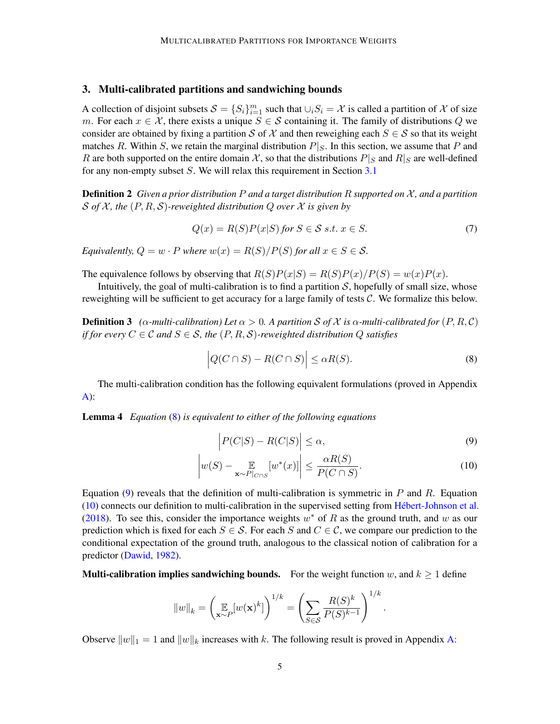# <span id="page-4-4"></span>3. Multi-calibrated partitions and sandwiching bounds

A collection of disjoint subsets  $S = \{S_i\}_{i=1}^m$  such that  $\cup_i S_i = \mathcal{X}$  is called a partition of  $\mathcal X$  of size m. For each  $x \in \mathcal{X}$ , there exists a unique  $S \in \mathcal{S}$  containing it. The family of distributions Q we consider are obtained by fixing a partition S of X and then reweighing each  $S \in S$  so that its weight matches R. Within S, we retain the marginal distribution  $P|_S$ . In this section, we assume that P and R are both supported on the entire domain X, so that the distributions  $P|_S$  and  $R|_S$  are well-defined for any non-empty subset S. We will relax this requirement in Section [3.1](#page-5-0)

Definition 2 *Given a prior distribution* P *and a target distribution* R *supported on* X *, and a partition* S *of* X *, the* (P, R, S)*-reweighted distribution* Q *over* X *is given by*

$$
Q(x) = R(S)P(x|S) \text{ for } S \in \mathcal{S} \text{ s.t. } x \in S. \tag{7}
$$

*Equivalently,*  $Q = w \cdot P$  *where*  $w(x) = R(S)/P(S)$  *for all*  $x \in S \in S$ *.* 

The equivalence follows by observing that  $R(S)P(x|S) = R(S)P(x)/P(S) = w(x)P(x)$ .

Intuitively, the goal of multi-calibration is to find a partition  $S$ , hopefully of small size, whose reweighting will be sufficient to get accuracy for a large family of tests  $C$ . We formalize this below.

**Definition 3** ( $\alpha$ -multi-calibration) Let  $\alpha > 0$ . A partition S of X is  $\alpha$ -multi-calibrated for  $(P, R, C)$ *if for every*  $C \in \mathcal{C}$  *and*  $S \in \mathcal{S}$ *, the*  $(P, R, \mathcal{S})$ *-reweighted distribution*  $Q$  *satisfies* 

<span id="page-4-1"></span>
$$
\left| Q(C \cap S) - R(C \cap S) \right| \leq \alpha R(S). \tag{8}
$$

<span id="page-4-5"></span>The multi-calibration condition has the following equivalent formulations (proved in Appendix  $A)$ :

Lemma 4 *Equation* [\(8\)](#page-4-1) *is equivalent to either of the following equations*

$$
\left| P(C|S) - R(C|S) \right| \le \alpha,\tag{9}
$$

<span id="page-4-3"></span><span id="page-4-2"></span><span id="page-4-0"></span>.

$$
\left| w(S) - \mathop{\mathbb{E}}_{\mathbf{x} \sim P|_{C \cap S}} [w^*(x)] \right| \le \frac{\alpha R(S)}{P(C \cap S)}.
$$
\n(10)

Equation [\(9\)](#page-4-2) reveals that the definition of multi-calibration is symmetric in  $P$  and  $R$ . Equation [\(10\)](#page-4-3) connects our definition to multi-calibration in the supervised setting from [Hébert-Johnson et al.](#page-13-0) [\(2018\)](#page-13-0). To see this, consider the importance weights  $w^*$  of R as the ground truth, and w as our prediction which is fixed for each  $S \in \mathcal{S}$ . For each S and  $C \in \mathcal{C}$ , we compare our prediction to the conditional expectation of the ground truth, analogous to the classical notion of calibration for a predictor [\(Dawid,](#page-12-7) [1982\)](#page-12-7).

**Multi-calibration implies sandwiching bounds.** For the weight function w, and  $k \ge 1$  define

$$
||w||_k = \left(\mathop{\mathbb{E}}_{\mathbf{x} \sim P} [w(\mathbf{x})^k] \right)^{1/k} = \left(\sum_{S \in \mathcal{S}} \frac{R(S)^k}{P(S)^{k-1}} \right)^{1/k}
$$

Observe  $||w||_1 = 1$  and  $||w||_k$  increases with k. The following result is proved in Appendix [A:](#page-16-0)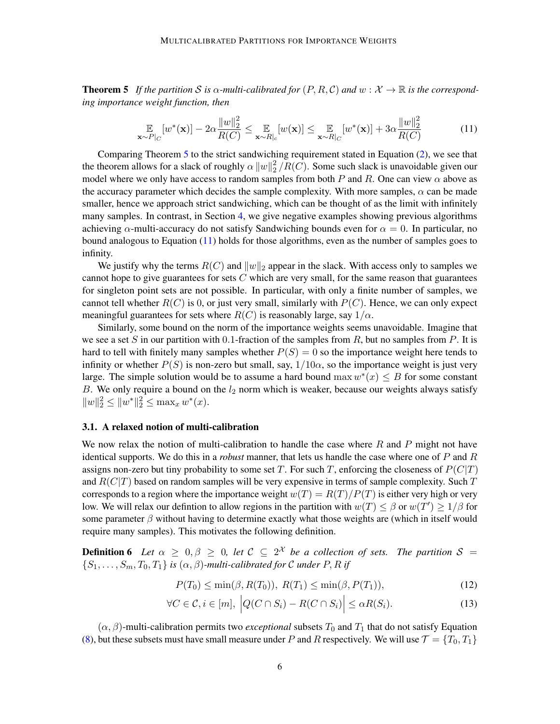**Theorem 5** If the partition S is  $\alpha$ -multi-calibrated for  $(P, R, C)$  and  $w : \mathcal{X} \to \mathbb{R}$  is the correspond*ing importance weight function, then*

<span id="page-5-1"></span>
$$
\mathop{\mathbb{E}}_{\mathbf{x} \sim P|_C} [w^*(\mathbf{x})] - 2\alpha \frac{\|w\|_2^2}{R(C)} \le \mathop{\mathbb{E}}_{\mathbf{x} \sim R|_c} [w(\mathbf{x})] \le \mathop{\mathbb{E}}_{\mathbf{x} \sim R|_C} [w^*(\mathbf{x})] + 3\alpha \frac{\|w\|_2^2}{R(C)} \tag{11}
$$

Comparing Theorem [5](#page-4-0) to the strict sandwiching requirement stated in Equation [\(2\)](#page-3-1), we see that the theorem allows for a slack of roughly  $\alpha ||w||_2^2$  $\binom{2}{2}/R(C)$ . Some such slack is unavoidable given our model where we only have access to random samples from both P and R. One can view  $\alpha$  above as the accuracy parameter which decides the sample complexity. With more samples,  $\alpha$  can be made smaller, hence we approach strict sandwiching, which can be thought of as the limit with infinitely many samples. In contrast, in Section [4,](#page-6-0) we give negative examples showing previous algorithms achieving  $\alpha$ -multi-accuracy do not satisfy Sandwiching bounds even for  $\alpha = 0$ . In particular, no bound analogous to Equation [\(11\)](#page-5-1) holds for those algorithms, even as the number of samples goes to infinity.

We justify why the terms  $R(C)$  and  $||w||_2$  appear in the slack. With access only to samples we cannot hope to give guarantees for sets  $C$  which are very small, for the same reason that guarantees for singleton point sets are not possible. In particular, with only a finite number of samples, we cannot tell whether  $R(C)$  is 0, or just very small, similarly with  $P(C)$ . Hence, we can only expect meaningful guarantees for sets where  $R(C)$  is reasonably large, say  $1/\alpha$ .

Similarly, some bound on the norm of the importance weights seems unavoidable. Imagine that we see a set S in our partition with 0.1-fraction of the samples from R, but no samples from P. It is hard to tell with finitely many samples whether  $P(S) = 0$  so the importance weight here tends to infinity or whether  $P(S)$  is non-zero but small, say,  $1/10\alpha$ , so the importance weight is just very large. The simple solution would be to assume a hard bound  $\max w^*(x) \leq B$  for some constant B. We only require a bound on the  $l_2$  norm which is weaker, because our weights always satisfy  $||w||_2^2 \le ||w^*||_2^2 \le \max_x w^*(x).$ 

# <span id="page-5-0"></span>3.1. A relaxed notion of multi-calibration

We now relax the notion of multi-calibration to handle the case where  $R$  and  $P$  might not have identical supports. We do this in a *robust* manner, that lets us handle the case where one of P and R assigns non-zero but tiny probability to some set T. For such T, enforcing the closeness of  $P(C|T)$ and  $R(C|T)$  based on random samples will be very expensive in terms of sample complexity. Such T corresponds to a region where the importance weight  $w(T) = R(T)/P(T)$  is either very high or very low. We will relax our defintion to allow regions in the partition with  $w(T) \leq \beta$  or  $w(T') \geq 1/\beta$  for some parameter  $\beta$  without having to determine exactly what those weights are (which in itself would require many samples). This motivates the following definition.

**Definition 6** Let  $\alpha \geq 0, \beta \geq 0$ , let  $\mathcal{C} \subseteq 2^{\mathcal{X}}$  be a collection of sets. The partition  $\mathcal{S} =$  ${S_1, \ldots, S_m, T_0, T_1}$  *is*  $(\alpha, \beta)$ *-multi-calibrated for* C *under* P, R *if* 

<span id="page-5-2"></span>
$$
P(T_0) \le \min(\beta, R(T_0)), \ R(T_1) \le \min(\beta, P(T_1)), \tag{12}
$$

$$
\forall C \in \mathcal{C}, i \in [m], \left| Q(C \cap S_i) - R(C \cap S_i) \right| \leq \alpha R(S_i). \tag{13}
$$

 $(\alpha, \beta)$ -multi-calibration permits two *exceptional* subsets  $T_0$  and  $T_1$  that do not satisfy Equation [\(8\)](#page-4-1), but these subsets must have small measure under P and R respectively. We will use  $\mathcal{T} = \{T_0, T_1\}$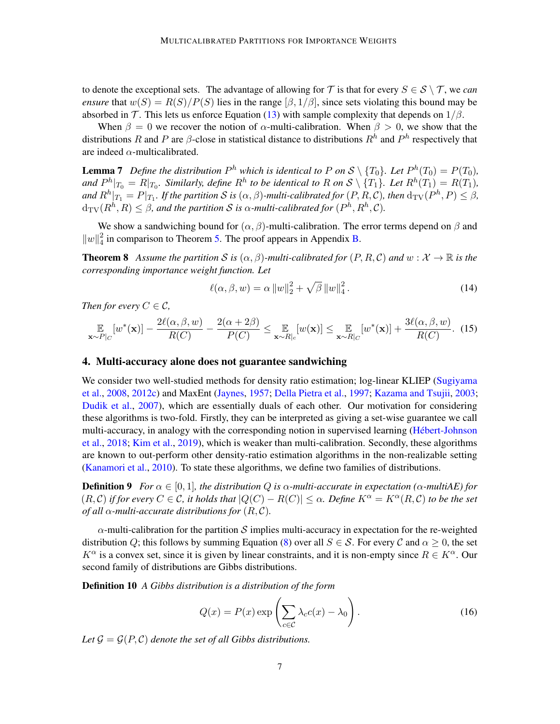to denote the exceptional sets. The advantage of allowing for  $\mathcal T$  is that for every  $S \in \mathcal S \setminus \mathcal T$ , we *can ensure* that  $w(S) = R(S)/P(S)$  lies in the range  $(\beta, 1/\beta)$ , since sets violating this bound may be absorbed in T. This lets us enforce Equation [\(13\)](#page-5-2) with sample complexity that depends on  $1/\beta$ .

When  $\beta = 0$  we recover the notion of  $\alpha$ -multi-calibration. When  $\beta > 0$ , we show that the distributions R and P are  $\beta$ -close in statistical distance to distributions  $R^h$  and  $P^h$  respectively that are indeed  $\alpha$ -multicalibrated.

<span id="page-6-3"></span>**Lemma 7** Define the distribution  $P^h$  which is identical to P on  $\mathcal{S} \setminus \{T_0\}$ . Let  $P^h(T_0) = P(T_0)$ , and  $P^h|_{T_0} = R|_{T_0}$ . Similarly, define  $R^h$  to be identical to R on  $S \setminus \{T_1\}$ . Let  $R^h(T_1) = R(T_1)$ , and  $R^h|_{T_1} = P|_{T_1}$ . If the partition  $\mathcal S$  is  $(\alpha,\beta)$ -multi-calibrated for  $(P,R,\mathcal C)$ , then  $\textrm{d}_{\textrm{TV}}(P^h,P) \leq \beta$ ,  $\text{d}_{\text{TV}}(R^h, R) \leq \beta$ , and the partition  $\mathcal S$  is  $\alpha$ -multi-calibrated for  $(P^h, R^h, \mathcal C).$ 

We show a sandwiching bound for  $(\alpha, \beta)$ -multi-calibration. The error terms depend on  $\beta$  and  $||w||_4^2$  $\frac{2}{4}$  in comparison to Theorem [5.](#page-4-0) The proof appears in Appendix [B.](#page-18-0)

<span id="page-6-2"></span>**Theorem 8** Assume the partition S is  $(\alpha, \beta)$ -multi-calibrated for  $(P, R, C)$  and  $w : \mathcal{X} \to \mathbb{R}$  is the *corresponding importance weight function. Let*

$$
\ell(\alpha, \beta, w) = \alpha \|w\|_2^2 + \sqrt{\beta} \|w\|_4^2.
$$
 (14)

*Then for every*  $C \in \mathcal{C}$ ,

$$
\mathop{\mathbb{E}}_{\mathbf{x}\sim P|_C}[w^*(\mathbf{x})] - \frac{2\ell(\alpha,\beta,w)}{R(C)} - \frac{2(\alpha+2\beta)}{P(C)} \leq \mathop{\mathbb{E}}_{\mathbf{x}\sim R|_c}[w(\mathbf{x})] \leq \mathop{\mathbb{E}}_{\mathbf{x}\sim R|_C}[w^*(\mathbf{x})] + \frac{3\ell(\alpha,\beta,w)}{R(C)}. \tag{15}
$$

#### <span id="page-6-0"></span>4. Multi-accuracy alone does not guarantee sandwiching

We consider two well-studied methods for density ratio estimation; log-linear KLIEP [\(Sugiyama](#page-14-9) [et al.,](#page-14-9) [2008,](#page-14-9) [2012c\)](#page-15-0) and MaxEnt [\(Jaynes,](#page-13-3) [1957;](#page-13-3) [Della Pietra et al.,](#page-12-6) [1997;](#page-12-6) [Kazama and Tsujii,](#page-13-5) [2003;](#page-13-5) [Dudik et al.,](#page-13-4) [2007\)](#page-13-4), which are essentially duals of each other. Our motivation for considering these algorithms is two-fold. Firstly, they can be interpreted as giving a set-wise guarantee we call multi-accuracy, in analogy with the corresponding notion in supervised learning [\(Hébert-Johnson](#page-13-0) [et al.,](#page-13-0) [2018;](#page-13-0) [Kim et al.,](#page-14-10) [2019\)](#page-14-10), which is weaker than multi-calibration. Secondly, these algorithms are known to out-perform other density-ratio estimation algorithms in the non-realizable setting [\(Kanamori et al.,](#page-13-6) [2010\)](#page-13-6). To state these algorithms, we define two families of distributions.

**Definition 9** *For*  $\alpha \in [0,1]$ *, the distribution Q is*  $\alpha$ *-multi-accurate in expectation (* $\alpha$ *-multiAE) for*  $(R, C)$  *if for every*  $C \in \mathcal{C}$ , *it holds that*  $|Q(C) - R(C)| \leq \alpha$ . Define  $K^{\alpha} = K^{\alpha}(R, C)$  *to be the set of all*  $\alpha$ *-multi-accurate distributions for*  $(R, C)$ *.* 

 $\alpha$ -multi-calibration for the partition S implies multi-accuracy in expectation for the re-weighted distribution Q; this follows by summing Equation [\(8\)](#page-4-1) over all  $S \in \mathcal{S}$ . For every C and  $\alpha \geq 0$ , the set  $K^{\alpha}$  is a convex set, since it is given by linear constraints, and it is non-empty since  $R \in K^{\alpha}$ . Our second family of distributions are Gibbs distributions.

Definition 10 *A Gibbs distribution is a distribution of the form*

<span id="page-6-1"></span>
$$
Q(x) = P(x) \exp\left(\sum_{c \in C} \lambda_c c(x) - \lambda_0\right). \tag{16}
$$

Let  $\mathcal{G} = \mathcal{G}(P, \mathcal{C})$  *denote the set of all Gibbs distributions.*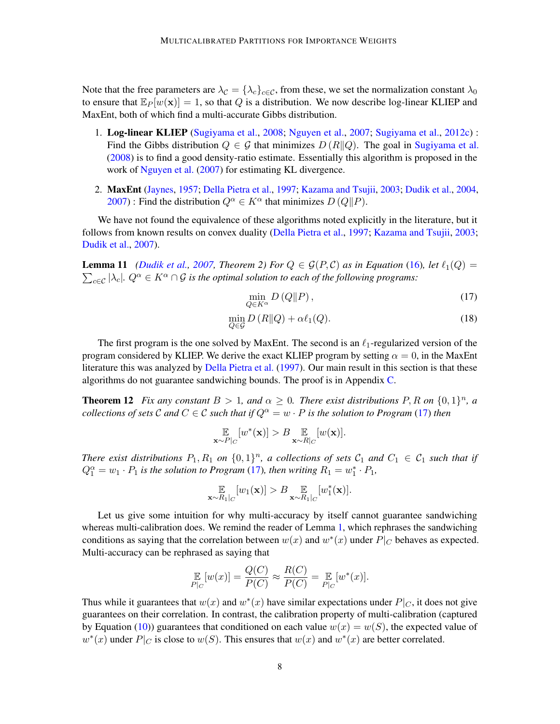Note that the free parameters are  $\lambda_c = {\lambda_c}_{c \in \mathcal{C}}$ , from these, we set the normalization constant  $\lambda_0$ to ensure that  $\mathbb{E}_P[w(\mathbf{x})] = 1$ , so that Q is a distribution. We now describe log-linear KLIEP and MaxEnt, both of which find a multi-accurate Gibbs distribution.

- 1. Log-linear KLIEP [\(Sugiyama et al.,](#page-14-9) [2008;](#page-14-9) [Nguyen et al.,](#page-14-4) [2007;](#page-14-4) [Sugiyama et al.,](#page-15-0) [2012c\)](#page-15-0) : Find the Gibbs distribution  $Q \in \mathcal{G}$  that minimizes  $D(R||Q)$ . The goal in [Sugiyama et al.](#page-14-9) [\(2008\)](#page-14-9) is to find a good density-ratio estimate. Essentially this algorithm is proposed in the work of [Nguyen et al.](#page-14-4) [\(2007\)](#page-14-4) for estimating KL divergence.
- 2. MaxEnt [\(Jaynes,](#page-13-3) [1957;](#page-13-3) [Della Pietra et al.,](#page-12-6) [1997;](#page-12-6) [Kazama and Tsujii,](#page-13-5) [2003;](#page-13-5) [Dudik et al.,](#page-12-8) [2004,](#page-12-8) [2007\)](#page-13-4) : Find the distribution  $Q^{\alpha} \in K^{\alpha}$  that minimizes  $D(Q||P)$ .

We have not found the equivalence of these algorithms noted explicitly in the literature, but it follows from known results on convex duality [\(Della Pietra et al.,](#page-12-6) [1997;](#page-12-6) [Kazama and Tsujii,](#page-13-5) [2003;](#page-13-5) [Dudik et al.,](#page-13-4) [2007\)](#page-13-4).

**Lemma 11** [\(Dudik et al.,](#page-13-4) [2007,](#page-13-4) Theorem 2) For  $Q \in \mathcal{G}(P,\mathcal{C})$  as in Equation [\(16\)](#page-6-1), let  $\ell_1(Q)$  =  $\sum_{c \in \mathcal{C}} |\lambda_c|$ *.*  $Q^{\alpha} \in K^{\alpha} \cap \mathcal{G}$  *is the optimal solution to each of the following programs:* 

<span id="page-7-0"></span>
$$
\min_{Q \in K^{\alpha}} D\left(Q \| P\right),\tag{17}
$$

$$
\min_{Q \in \mathcal{G}} D(R||Q) + \alpha \ell_1(Q). \tag{18}
$$

The first program is the one solved by MaxEnt. The second is an  $\ell_1$ -regularized version of the program considered by KLIEP. We derive the exact KLIEP program by setting  $\alpha = 0$ , in the MaxEnt literature this was analyzed by [Della Pietra et al.](#page-12-6) [\(1997\)](#page-12-6). Our main result in this section is that these algorithms do not guarantee sandwiching bounds. The proof is in Appendix [C.](#page-23-0)

<span id="page-7-1"></span>**Theorem 12** Fix any constant  $B > 1$ , and  $\alpha \geq 0$ . There exist distributions P, R on  $\{0,1\}^n$ , a *collections of sets* C and  $C \in \mathcal{C}$  *such that if*  $Q^{\alpha} = w \cdot P$  *is the solution to Program* [\(17\)](#page-7-0) *then* 

$$
\mathop{\mathbb{E}}_{\mathbf{x} \sim P|_C} [w^*(\mathbf{x})] > B \mathop{\mathbb{E}}_{\mathbf{x} \sim R|_C} [w(\mathbf{x})].
$$

*There exist distributions*  $P_1, R_1$  *on*  $\{0,1\}^n$ , *a collections of sets*  $C_1$  *and*  $C_1 \in C_1$  *such that if*  $Q_1^{\alpha} = w_1 \cdot P_1$  *is the solution to Program* [\(17\)](#page-7-0)*, then writing*  $R_1 = w_1^* \cdot P_1$ *,* 

$$
\mathop{\mathbb{E}}_{\mathbf{x}\sim R_1|_C}[w_1(\mathbf{x})] > B \mathop{\mathbb{E}}_{\mathbf{x}\sim R_1|_C}[w_1^*(\mathbf{x})].
$$

Let us give some intuition for why multi-accuracy by itself cannot guarantee sandwiching whereas multi-calibration does. We remind the reader of Lemma [1,](#page-3-3) which rephrases the sandwiching conditions as saying that the correlation between  $w(x)$  and  $w^*(x)$  under  $P|_C$  behaves as expected. Multi-accuracy can be rephrased as saying that

$$
\mathop{\mathbb{E}}_{P|_C} [w(x)] = \frac{Q(C)}{P(C)} \approx \frac{R(C)}{P(C)} = \mathop{\mathbb{E}}_{P|_C} [w^*(x)].
$$

Thus while it guarantees that  $w(x)$  and  $w^*(x)$  have similar expectations under  $P|_C$ , it does not give guarantees on their correlation. In contrast, the calibration property of multi-calibration (captured by Equation [\(10\)](#page-4-3)) guarantees that conditioned on each value  $w(x) = w(S)$ , the expected value of  $w^*(x)$  under  $P|_C$  is close to  $w(S)$ . This ensures that  $w(x)$  and  $w^*(x)$  are better correlated.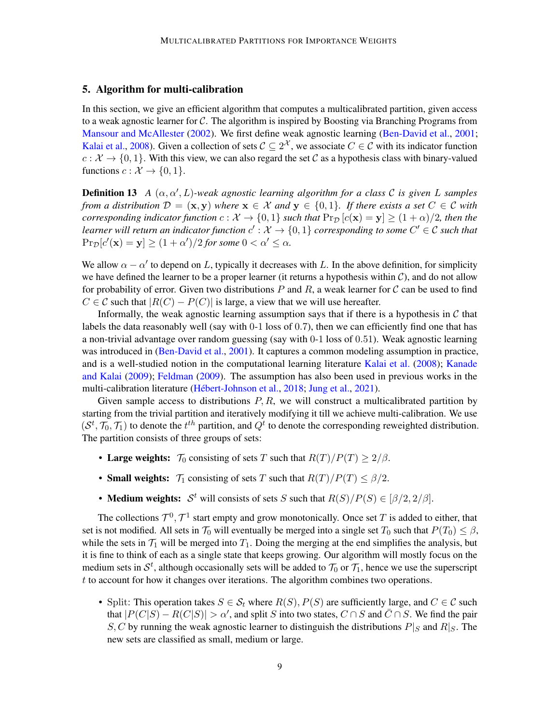# 5. Algorithm for multi-calibration

In this section, we give an efficient algorithm that computes a multicalibrated partition, given access to a weak agnostic learner for  $C$ . The algorithm is inspired by Boosting via Branching Programs from [Mansour and McAllester](#page-14-8) [\(2002\)](#page-14-8). We first define weak agnostic learning [\(Ben-David et al.,](#page-12-9) [2001;](#page-12-9) [Kalai et al.,](#page-13-7) [2008\)](#page-13-7). Given a collection of sets  $C \subseteq 2^{\mathcal{X}}$ , we associate  $C \in \mathcal{C}$  with its indicator function  $c: \mathcal{X} \to \{0, 1\}$ . With this view, we can also regard the set C as a hypothesis class with binary-valued functions  $c : \mathcal{X} \to \{0, 1\}.$ 

<span id="page-8-0"></span>Definition 13 *A* (α, α′ , L)*-weak agnostic learning algorithm for a class* C *is given* L *samples from a distribution*  $\mathcal{D} = (\mathbf{x}, \mathbf{y})$  *where*  $\mathbf{x} \in \mathcal{X}$  *and*  $\mathbf{y} \in \{0, 1\}$ *. If there exists a set*  $C \in \mathcal{C}$  *with corresponding indicator function*  $c: \mathcal{X} \to \{0,1\}$  *such that*  $\Pr_{\mathcal{D}}[c(\mathbf{x}) = \mathbf{y}] \geq (1+\alpha)/2$ *, then the learner will return an indicator function*  $c': \mathcal{X} \to \{0,1\}$  *corresponding to some*  $C' \in \mathcal{C}$  *such that*  $\Pr_{\mathcal{D}}[c'(\mathbf{x}) = \mathbf{y}] \ge (1 + \alpha')/2$  for some  $0 < \alpha' \le \alpha$ .

We allow  $\alpha - \alpha'$  to depend on L, typically it decreases with L. In the above definition, for simplicity we have defined the learner to be a proper learner (it returns a hypothesis within  $\mathcal{C}$ ), and do not allow for probability of error. Given two distributions P and R, a weak learner for C can be used to find  $C \in \mathcal{C}$  such that  $|R(C) - P(C)|$  is large, a view that we will use hereafter.

Informally, the weak agnostic learning assumption says that if there is a hypothesis in  $\mathcal C$  that labels the data reasonably well (say with 0-1 loss of 0.7), then we can efficiently find one that has a non-trivial advantage over random guessing (say with 0-1 loss of 0.51). Weak agnostic learning was introduced in [\(Ben-David et al.,](#page-12-9) [2001\)](#page-12-9). It captures a common modeling assumption in practice, and is a well-studied notion in the computational learning literature [Kalai et al.](#page-13-7) [\(2008\)](#page-13-7); [Kanade](#page-13-8) [and Kalai](#page-13-8) [\(2009\)](#page-13-8); [Feldman](#page-13-9) [\(2009\)](#page-13-9). The assumption has also been used in previous works in the multi-calibration literature [\(Hébert-Johnson et al.,](#page-13-0) [2018;](#page-13-0) [Jung et al.,](#page-13-10) [2021\)](#page-13-10).

Given sample access to distributions  $P, R$ , we will construct a multicalibrated partition by starting from the trivial partition and iteratively modifying it till we achieve multi-calibration. We use  $(S^t, \mathcal{T}_0, \mathcal{T}_1)$  to denote the  $t^{th}$  partition, and  $Q^t$  to denote the corresponding reweighted distribution. The partition consists of three groups of sets:

- Large weights:  $\mathcal{T}_0$  consisting of sets T such that  $R(T)/P(T) \geq 2/\beta$ .
- Small weights:  $\mathcal{T}_1$  consisting of sets T such that  $R(T)/P(T) \leq \beta/2$ .
- **Medium weights:**  $S^t$  will consists of sets S such that  $R(S)/P(S) \in [\beta/2, 2/\beta]$ .

The collections  $\mathcal{T}^0, \mathcal{T}^1$  start empty and grow monotonically. Once set T is added to either, that set is not modified. All sets in  $\mathcal{T}_0$  will eventually be merged into a single set  $T_0$  such that  $P(T_0) \leq \beta$ , while the sets in  $\mathcal{T}_1$  will be merged into  $T_1$ . Doing the merging at the end simplifies the analysis, but it is fine to think of each as a single state that keeps growing. Our algorithm will mostly focus on the medium sets in  $S^t$ , although occasionally sets will be added to  $\mathcal{T}_0$  or  $\mathcal{T}_1$ , hence we use the superscript t to account for how it changes over iterations. The algorithm combines two operations.

• Split: This operation takes  $S \in \mathcal{S}_t$  where  $R(S), P(S)$  are sufficiently large, and  $C \in \mathcal{C}$  such that  $|P(C|S) - R(C|S)| > \alpha'$ , and split S into two states,  $C \cap S$  and  $\overline{C} \cap S$ . We find the pair S, C by running the weak agnostic learner to distinguish the distributions  $P|_S$  and  $R|_S$ . The new sets are classified as small, medium or large.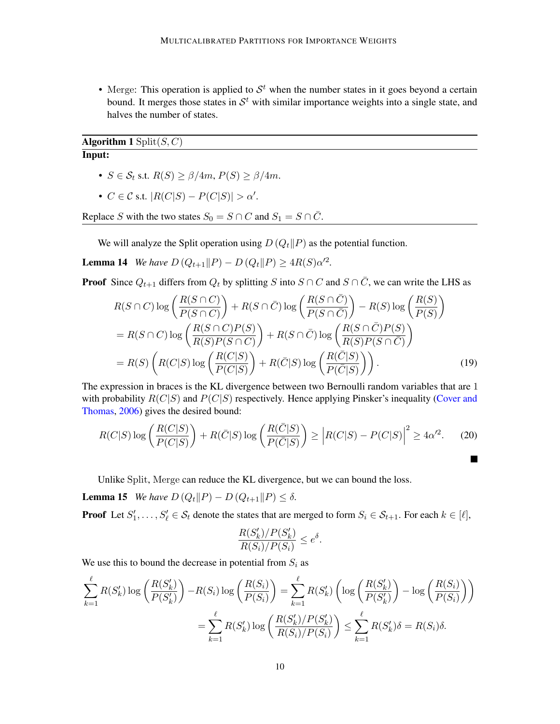• Merge: This operation is applied to  $S<sup>t</sup>$  when the number states in it goes beyond a certain bound. It merges those states in  $\mathcal{S}^t$  with similar importance weights into a single state, and halves the number of states.

Algorithm 1  $\text{Split}(S, C)$ Input:

- $S \in \mathcal{S}_t$  s.t.  $R(S) \geq \beta/4m$ ,  $P(S) \geq \beta/4m$ .
- $C \in \mathcal{C}$  s.t.  $|R(C|S) P(C|S)| > \alpha'$ .

Replace S with the two states  $S_0 = S \cap C$  and  $S_1 = S \cap \overline{C}$ .

We will analyze the Split operation using  $D(Q_t||P)$  as the potential function.

<span id="page-9-0"></span>**Lemma 14** *We have*  $D(Q_{t+1}||P) - D(Q_t||P) \ge 4R(S)\alpha'^2$ .

**Proof** Since  $Q_{t+1}$  differs from  $Q_t$  by splitting S into  $S \cap C$  and  $S \cap \overline{C}$ , we can write the LHS as

$$
R(S \cap C) \log \left( \frac{R(S \cap C)}{P(S \cap C)} \right) + R(S \cap \bar{C}) \log \left( \frac{R(S \cap \bar{C})}{P(S \cap \bar{C})} \right) - R(S) \log \left( \frac{R(S)}{P(S)} \right)
$$
  
=  $R(S \cap C) \log \left( \frac{R(S \cap C)P(S)}{R(S)P(S \cap C)} \right) + R(S \cap \bar{C}) \log \left( \frac{R(S \cap \bar{C})P(S)}{R(S)P(S \cap \bar{C})} \right)$   
=  $R(S) \left( R(C|S) \log \left( \frac{R(C|S)}{P(C|S)} \right) + R(\bar{C}|S) \log \left( \frac{R(\bar{C}|S)}{P(\bar{C}|S)} \right) \right).$  (19)

The expression in braces is the KL divergence between two Bernoulli random variables that are 1 with probability  $R(C|S)$  and  $P(C|S)$  respectively. Hence applying Pinsker's inequality [\(Cover and](#page-12-10) [Thomas,](#page-12-10) [2006\)](#page-12-10) gives the desired bound:

$$
R(C|S)\log\left(\frac{R(C|S)}{P(C|S)}\right) + R(\bar{C}|S)\log\left(\frac{R(\bar{C}|S)}{P(\bar{C}|S)}\right) \ge \left|R(C|S) - P(C|S)\right|^2 \ge 4\alpha'^2. \tag{20}
$$

Unlike Split, Merge can reduce the KL divergence, but we can bound the loss.

**Lemma 15** *We have*  $D(Q_t || P) - D(Q_{t+1} || P) \le \delta$ .

**Proof** Let  $S'_1, \ldots, S'_\ell \in S_t$  denote the states that are merged to form  $S_i \in S_{t+1}$ . For each  $k \in [\ell]$ ,

$$
\frac{R(S'_k)/P(S'_k)}{R(S_i)/P(S_i)} \le e^{\delta}.
$$

We use this to bound the decrease in potential from  $S_i$  as

$$
\sum_{k=1}^{\ell} R(S'_k) \log \left( \frac{R(S'_k)}{P(S'_k)} \right) - R(S_i) \log \left( \frac{R(S_i)}{P(S_i)} \right) = \sum_{k=1}^{\ell} R(S'_k) \left( \log \left( \frac{R(S'_k)}{P(S'_k)} \right) - \log \left( \frac{R(S_i)}{P(S_i)} \right) \right)
$$

$$
= \sum_{k=1}^{\ell} R(S'_k) \log \left( \frac{R(S'_k)/P(S'_k)}{R(S_i)/P(S_i)} \right) \le \sum_{k=1}^{\ell} R(S'_k) \delta = R(S_i) \delta.
$$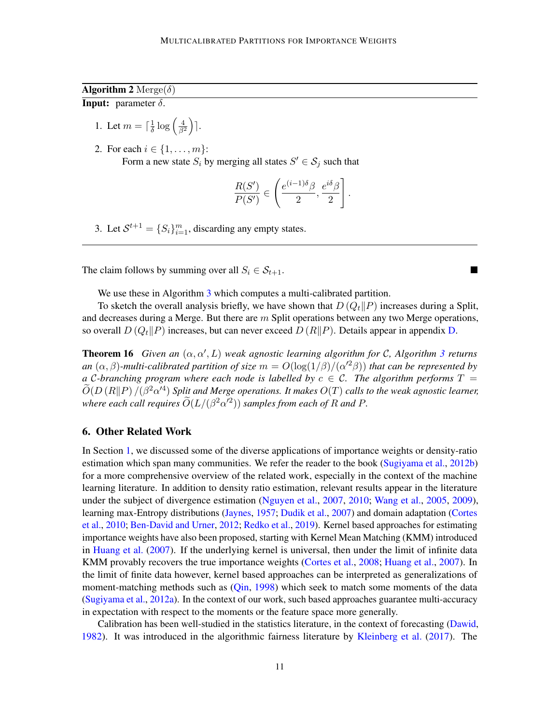# **Algorithm 2** Merge $(\delta)$ **Input:** parameter  $\delta$ .

- 1. Let  $m = \lceil \frac{1}{\delta} \rceil$  $\frac{1}{\delta}\log\left(\frac{4}{\beta^2}\right)$ ].
- 2. For each  $i \in \{1, ..., m\}$ : Form a new state  $S_i$  by merging all states  $S' \in S_j$  such that

$$
\frac{R(S')}{P(S')}\in \left(\frac{e^{(i-1)\delta}\beta}{2},\frac{e^{i\delta}\beta}{2}\right].
$$

 $\overline{\phantom{a}}$ 

3. Let  $\mathcal{S}^{t+1} = \{S_i\}_{i=1}^m$ , discarding any empty states.

The claim follows by summing over all  $S_i \in S_{t+1}$ .

We use these in Algorithm [3](#page-11-0) which computes a multi-calibrated partition.

To sketch the overall analysis briefly, we have shown that  $D(Q_t||P)$  increases during a Split, and decreases during a Merge. But there are  $m$  Split operations between any two Merge operations, so overall  $D(Q_t||P)$  increases, but can never exceed  $D(R||P)$ . Details appear in appendix [D.](#page-26-0)

<span id="page-10-0"></span>**Theorem 16** Given an  $(\alpha, \alpha', L)$  weak agnostic learning algorithm for C, Algorithm [3](#page-11-0) returns *an*  $(\alpha, \beta)$ -multi-calibrated partition of size  $m = O(\log(1/\beta)/(\alpha'^2\beta))$  that can be represented by *a* C-branching program where each node is labelled by  $c \in \mathcal{C}$ . The algorithm performs  $T =$  $\widetilde{O}(D(R||P)/(\beta^2\alpha'^4))$  *Split and Merge operations. It makes*  $O(T)$  *calls to the weak agnostic learner,* where each call requires  $\widetilde{O}(L/(\beta^2\alpha'^2))$  samples from each of R and P.

# 6. Other Related Work

In Section [1,](#page-0-1) we discussed some of the diverse applications of importance weights or density-ratio estimation which span many communities. We refer the reader to the book [\(Sugiyama et al.,](#page-15-8) [2012b\)](#page-15-8) for a more comprehensive overview of the related work, especially in the context of the machine learning literature. In addition to density ratio estimation, relevant results appear in the literature under the subject of divergence estimation [\(Nguyen et al.,](#page-14-4) [2007,](#page-14-4) [2010;](#page-14-5) [Wang et al.,](#page-15-3) [2005,](#page-15-3) [2009\)](#page-15-4), learning max-Entropy distributions [\(Jaynes,](#page-13-3) [1957;](#page-13-3) [Dudik et al.,](#page-13-4) [2007\)](#page-13-4) and domain adaptation [\(Cortes](#page-12-2) [et al.,](#page-12-2) [2010;](#page-12-2) [Ben-David and Urner,](#page-12-3) [2012;](#page-12-3) [Redko et al.,](#page-14-11) [2019\)](#page-14-11). Kernel based approaches for estimating importance weights have also been proposed, starting with Kernel Mean Matching (KMM) introduced in [Huang et al.](#page-13-11) [\(2007\)](#page-13-11). If the underlying kernel is universal, then under the limit of infinite data KMM provably recovers the true importance weights [\(Cortes et al.,](#page-12-11) [2008;](#page-12-11) [Huang et al.,](#page-13-11) [2007\)](#page-13-11). In the limit of finite data however, kernel based approaches can be interpreted as generalizations of moment-matching methods such as [\(Qin,](#page-14-12) [1998\)](#page-14-12) which seek to match some moments of the data [\(Sugiyama et al.,](#page-14-7) [2012a\)](#page-14-7). In the context of our work, such based approaches guarantee multi-accuracy in expectation with respect to the moments or the feature space more generally.

Calibration has been well-studied in the statistics literature, in the context of forecasting [\(Dawid,](#page-12-7) [1982\)](#page-12-7). It was introduced in the algorithmic fairness literature by [Kleinberg et al.](#page-14-13) [\(2017\)](#page-14-13). The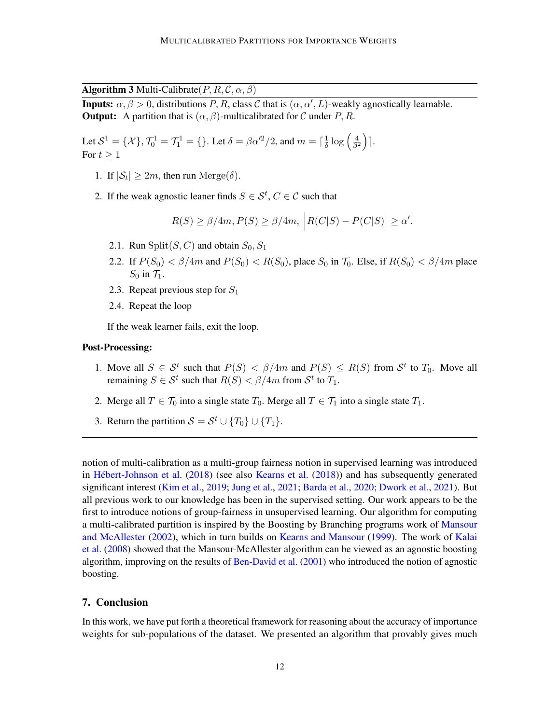**Algorithm 3** Multi-Calibrate $(P, R, C, \alpha, \beta)$ 

<span id="page-11-0"></span>**Inputs:**  $\alpha, \beta > 0$ , distributions P, R, class C that is  $(\alpha, \alpha', L)$ -weakly agnostically learnable. **Output:** A partition that is  $(\alpha, \beta)$ -multicalibrated for C under P, R.

Let  $S^1 = \{X\}$ ,  $\mathcal{T}_0^1 = \mathcal{T}_1^1 = \{\}$ . Let  $\delta = \beta \alpha'^2/2$ , and  $m = \lceil \frac{1}{\delta} \rceil$  $\frac{1}{\delta}\log\left(\frac{4}{\beta^2}\right)$ ]. For  $t > 1$ 

- 1. If  $|\mathcal{S}_t| \geq 2m$ , then run Merge( $\delta$ ).
- 2. If the weak agnostic leaner finds  $S \in \mathcal{S}^t$ ,  $C \in \mathcal{C}$  such that

$$
R(S) \ge \beta/4m, P(S) \ge \beta/4m, \left| R(C|S) - P(C|S) \right| \ge \alpha'.
$$

- 2.1. Run Split $(S, C)$  and obtain  $S_0, S_1$
- 2.2. If  $P(S_0) < \beta/4m$  and  $P(S_0) < R(S_0)$ , place  $S_0$  in  $\mathcal{T}_0$ . Else, if  $R(S_0) < \beta/4m$  place  $S_0$  in  $\mathcal{T}_1$ .
- 2.3. Repeat previous step for  $S_1$
- 2.4. Repeat the loop

If the weak learner fails, exit the loop.

#### Post-Processing:

- 1. Move all  $S \in S^t$  such that  $P(S) < \frac{\beta}{4m}$  and  $P(S) \leq R(S)$  from  $S^t$  to  $T_0$ . Move all remaining  $S \in \mathcal{S}^t$  such that  $R(S) < \beta/4m$  from  $\mathcal{S}^t$  to  $T_1$ .
- 2. Merge all  $T \in \mathcal{T}_0$  into a single state  $T_0$ . Merge all  $T \in \mathcal{T}_1$  into a single state  $T_1$ .
- 3. Return the partition  $S = S^t \cup \{T_0\} \cup \{T_1\}.$

notion of multi-calibration as a multi-group fairness notion in supervised learning was introduced in [Hébert-Johnson et al.](#page-13-0) [\(2018\)](#page-13-0) (see also [Kearns et al.](#page-13-12) [\(2018\)](#page-13-12)) and has subsequently generated significant interest [\(Kim et al.,](#page-14-10) [2019;](#page-14-10) [Jung et al.,](#page-13-10) [2021;](#page-13-10) [Barda et al.,](#page-12-12) [2020;](#page-12-12) [Dwork et al.,](#page-13-13) [2021\)](#page-13-13). But all previous work to our knowledge has been in the supervised setting. Our work appears to be the first to introduce notions of group-fairness in unsupervised learning. Our algorithm for computing a multi-calibrated partition is inspired by the Boosting by Branching programs work of [Mansour](#page-14-8) [and McAllester](#page-14-8) [\(2002\)](#page-14-8), which in turn builds on [Kearns and Mansour](#page-13-14) [\(1999\)](#page-13-14). The work of [Kalai](#page-13-7) [et al.](#page-13-7) [\(2008\)](#page-13-7) showed that the Mansour-McAllester algorithm can be viewed as an agnostic boosting algorithm, improving on the results of [Ben-David et al.](#page-12-9) [\(2001\)](#page-12-9) who introduced the notion of agnostic boosting.

# 7. Conclusion

In this work, we have put forth a theoretical framework for reasoning about the accuracy of importance weights for sub-populations of the dataset. We presented an algorithm that provably gives much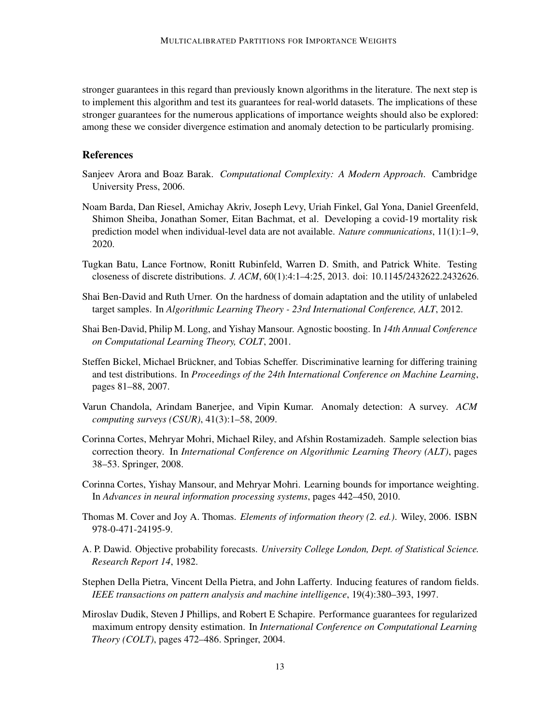stronger guarantees in this regard than previously known algorithms in the literature. The next step is to implement this algorithm and test its guarantees for real-world datasets. The implications of these stronger guarantees for the numerous applications of importance weights should also be explored: among these we consider divergence estimation and anomaly detection to be particularly promising.

# **References**

- <span id="page-12-5"></span>Sanjeev Arora and Boaz Barak. *Computational Complexity: A Modern Approach*. Cambridge University Press, 2006.
- <span id="page-12-12"></span>Noam Barda, Dan Riesel, Amichay Akriv, Joseph Levy, Uriah Finkel, Gal Yona, Daniel Greenfeld, Shimon Sheiba, Jonathan Somer, Eitan Bachmat, et al. Developing a covid-19 mortality risk prediction model when individual-level data are not available. *Nature communications*, 11(1):1–9, 2020.
- <span id="page-12-4"></span>Tugkan Batu, Lance Fortnow, Ronitt Rubinfeld, Warren D. Smith, and Patrick White. Testing closeness of discrete distributions. *J. ACM*, 60(1):4:1–4:25, 2013. doi: 10.1145/2432622.2432626.
- <span id="page-12-3"></span>Shai Ben-David and Ruth Urner. On the hardness of domain adaptation and the utility of unlabeled target samples. In *Algorithmic Learning Theory - 23rd International Conference, ALT*, 2012.
- <span id="page-12-9"></span>Shai Ben-David, Philip M. Long, and Yishay Mansour. Agnostic boosting. In *14th Annual Conference on Computational Learning Theory, COLT*, 2001.
- <span id="page-12-1"></span>Steffen Bickel, Michael Brückner, and Tobias Scheffer. Discriminative learning for differing training and test distributions. In *Proceedings of the 24th International Conference on Machine Learning*, pages 81–88, 2007.
- <span id="page-12-0"></span>Varun Chandola, Arindam Banerjee, and Vipin Kumar. Anomaly detection: A survey. *ACM computing surveys (CSUR)*, 41(3):1–58, 2009.
- <span id="page-12-11"></span>Corinna Cortes, Mehryar Mohri, Michael Riley, and Afshin Rostamizadeh. Sample selection bias correction theory. In *International Conference on Algorithmic Learning Theory (ALT)*, pages 38–53. Springer, 2008.
- <span id="page-12-2"></span>Corinna Cortes, Yishay Mansour, and Mehryar Mohri. Learning bounds for importance weighting. In *Advances in neural information processing systems*, pages 442–450, 2010.
- <span id="page-12-10"></span>Thomas M. Cover and Joy A. Thomas. *Elements of information theory (2. ed.)*. Wiley, 2006. ISBN 978-0-471-24195-9.
- <span id="page-12-7"></span>A. P. Dawid. Objective probability forecasts. *University College London, Dept. of Statistical Science. Research Report 14*, 1982.
- <span id="page-12-6"></span>Stephen Della Pietra, Vincent Della Pietra, and John Lafferty. Inducing features of random fields. *IEEE transactions on pattern analysis and machine intelligence*, 19(4):380–393, 1997.
- <span id="page-12-8"></span>Miroslav Dudik, Steven J Phillips, and Robert E Schapire. Performance guarantees for regularized maximum entropy density estimation. In *International Conference on Computational Learning Theory (COLT)*, pages 472–486. Springer, 2004.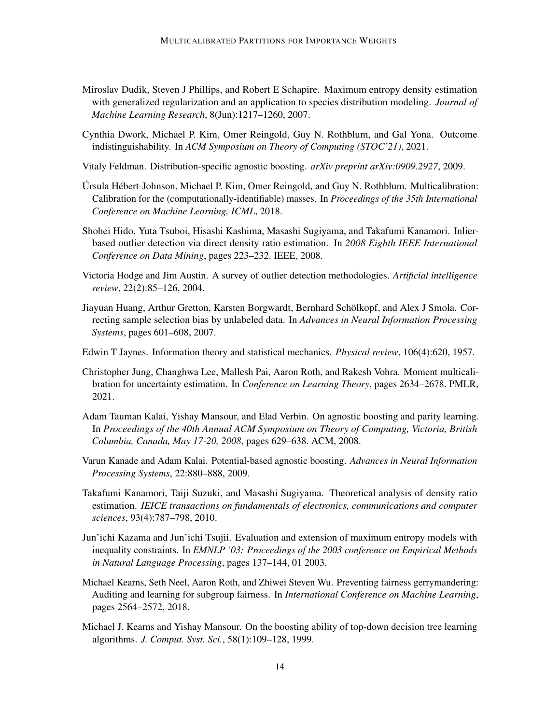- <span id="page-13-4"></span>Miroslav Dudik, Steven J Phillips, and Robert E Schapire. Maximum entropy density estimation with generalized regularization and an application to species distribution modeling. *Journal of Machine Learning Research*, 8(Jun):1217–1260, 2007.
- <span id="page-13-13"></span>Cynthia Dwork, Michael P. Kim, Omer Reingold, Guy N. Rothblum, and Gal Yona. Outcome indistinguishability. In *ACM Symposium on Theory of Computing (STOC'21)*, 2021.
- <span id="page-13-9"></span>Vitaly Feldman. Distribution-specific agnostic boosting. *arXiv preprint arXiv:0909.2927*, 2009.
- <span id="page-13-0"></span>Úrsula Hébert-Johnson, Michael P. Kim, Omer Reingold, and Guy N. Rothblum. Multicalibration: Calibration for the (computationally-identifiable) masses. In *Proceedings of the 35th International Conference on Machine Learning, ICML*, 2018.
- <span id="page-13-1"></span>Shohei Hido, Yuta Tsuboi, Hisashi Kashima, Masashi Sugiyama, and Takafumi Kanamori. Inlierbased outlier detection via direct density ratio estimation. In *2008 Eighth IEEE International Conference on Data Mining*, pages 223–232. IEEE, 2008.
- <span id="page-13-2"></span>Victoria Hodge and Jim Austin. A survey of outlier detection methodologies. *Artificial intelligence review*, 22(2):85–126, 2004.
- <span id="page-13-11"></span>Jiayuan Huang, Arthur Gretton, Karsten Borgwardt, Bernhard Schölkopf, and Alex J Smola. Correcting sample selection bias by unlabeled data. In *Advances in Neural Information Processing Systems*, pages 601–608, 2007.
- <span id="page-13-3"></span>Edwin T Jaynes. Information theory and statistical mechanics. *Physical review*, 106(4):620, 1957.
- <span id="page-13-10"></span>Christopher Jung, Changhwa Lee, Mallesh Pai, Aaron Roth, and Rakesh Vohra. Moment multicalibration for uncertainty estimation. In *Conference on Learning Theory*, pages 2634–2678. PMLR, 2021.
- <span id="page-13-7"></span>Adam Tauman Kalai, Yishay Mansour, and Elad Verbin. On agnostic boosting and parity learning. In *Proceedings of the 40th Annual ACM Symposium on Theory of Computing, Victoria, British Columbia, Canada, May 17-20, 2008*, pages 629–638. ACM, 2008.
- <span id="page-13-8"></span>Varun Kanade and Adam Kalai. Potential-based agnostic boosting. *Advances in Neural Information Processing Systems*, 22:880–888, 2009.
- <span id="page-13-6"></span>Takafumi Kanamori, Taiji Suzuki, and Masashi Sugiyama. Theoretical analysis of density ratio estimation. *IEICE transactions on fundamentals of electronics, communications and computer sciences*, 93(4):787–798, 2010.
- <span id="page-13-5"></span>Jun'ichi Kazama and Jun'ichi Tsujii. Evaluation and extension of maximum entropy models with inequality constraints. In *EMNLP '03: Proceedings of the 2003 conference on Empirical Methods in Natural Language Processing*, pages 137–144, 01 2003.
- <span id="page-13-12"></span>Michael Kearns, Seth Neel, Aaron Roth, and Zhiwei Steven Wu. Preventing fairness gerrymandering: Auditing and learning for subgroup fairness. In *International Conference on Machine Learning*, pages 2564–2572, 2018.
- <span id="page-13-14"></span>Michael J. Kearns and Yishay Mansour. On the boosting ability of top-down decision tree learning algorithms. *J. Comput. Syst. Sci.*, 58(1):109–128, 1999.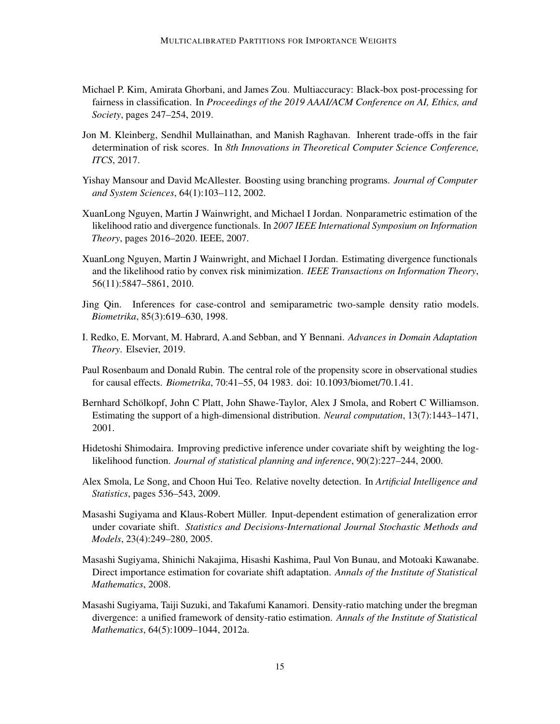- <span id="page-14-10"></span>Michael P. Kim, Amirata Ghorbani, and James Zou. Multiaccuracy: Black-box post-processing for fairness in classification. In *Proceedings of the 2019 AAAI/ACM Conference on AI, Ethics, and Society*, pages 247–254, 2019.
- <span id="page-14-13"></span>Jon M. Kleinberg, Sendhil Mullainathan, and Manish Raghavan. Inherent trade-offs in the fair determination of risk scores. In *8th Innovations in Theoretical Computer Science Conference, ITCS*, 2017.
- <span id="page-14-8"></span>Yishay Mansour and David McAllester. Boosting using branching programs. *Journal of Computer and System Sciences*, 64(1):103–112, 2002.
- <span id="page-14-4"></span>XuanLong Nguyen, Martin J Wainwright, and Michael I Jordan. Nonparametric estimation of the likelihood ratio and divergence functionals. In *2007 IEEE International Symposium on Information Theory*, pages 2016–2020. IEEE, 2007.
- <span id="page-14-5"></span>XuanLong Nguyen, Martin J Wainwright, and Michael I Jordan. Estimating divergence functionals and the likelihood ratio by convex risk minimization. *IEEE Transactions on Information Theory*, 56(11):5847–5861, 2010.
- <span id="page-14-12"></span>Jing Qin. Inferences for case-control and semiparametric two-sample density ratio models. *Biometrika*, 85(3):619–630, 1998.
- <span id="page-14-11"></span>I. Redko, E. Morvant, M. Habrard, A.and Sebban, and Y Bennani. *Advances in Domain Adaptation Theory*. Elsevier, 2019.
- <span id="page-14-6"></span>Paul Rosenbaum and Donald Rubin. The central role of the propensity score in observational studies for causal effects. *Biometrika*, 70:41–55, 04 1983. doi: 10.1093/biomet/70.1.41.
- <span id="page-14-0"></span>Bernhard Schölkopf, John C Platt, John Shawe-Taylor, Alex J Smola, and Robert C Williamson. Estimating the support of a high-dimensional distribution. *Neural computation*, 13(7):1443–1471, 2001.
- <span id="page-14-2"></span>Hidetoshi Shimodaira. Improving predictive inference under covariate shift by weighting the loglikelihood function. *Journal of statistical planning and inference*, 90(2):227–244, 2000.
- <span id="page-14-1"></span>Alex Smola, Le Song, and Choon Hui Teo. Relative novelty detection. In *Artificial Intelligence and Statistics*, pages 536–543, 2009.
- <span id="page-14-3"></span>Masashi Sugiyama and Klaus-Robert Müller. Input-dependent estimation of generalization error under covariate shift. *Statistics and Decisions-International Journal Stochastic Methods and Models*, 23(4):249–280, 2005.
- <span id="page-14-9"></span>Masashi Sugiyama, Shinichi Nakajima, Hisashi Kashima, Paul Von Bunau, and Motoaki Kawanabe. Direct importance estimation for covariate shift adaptation. *Annals of the Institute of Statistical Mathematics*, 2008.
- <span id="page-14-7"></span>Masashi Sugiyama, Taiji Suzuki, and Takafumi Kanamori. Density-ratio matching under the bregman divergence: a unified framework of density-ratio estimation. *Annals of the Institute of Statistical Mathematics*, 64(5):1009–1044, 2012a.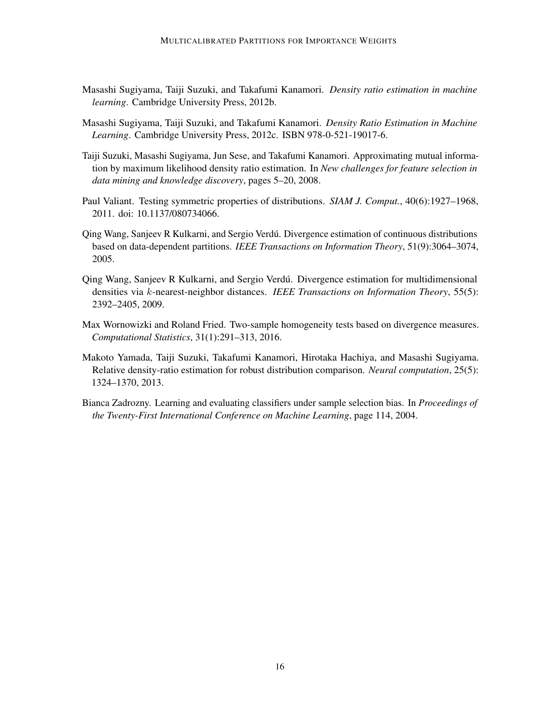- <span id="page-15-8"></span>Masashi Sugiyama, Taiji Suzuki, and Takafumi Kanamori. *Density ratio estimation in machine learning*. Cambridge University Press, 2012b.
- <span id="page-15-0"></span>Masashi Sugiyama, Taiji Suzuki, and Takafumi Kanamori. *Density Ratio Estimation in Machine Learning*. Cambridge University Press, 2012c. ISBN 978-0-521-19017-6.
- <span id="page-15-6"></span>Taiji Suzuki, Masashi Sugiyama, Jun Sese, and Takafumi Kanamori. Approximating mutual information by maximum likelihood density ratio estimation. In *New challenges for feature selection in data mining and knowledge discovery*, pages 5–20, 2008.
- <span id="page-15-7"></span>Paul Valiant. Testing symmetric properties of distributions. *SIAM J. Comput.*, 40(6):1927–1968, 2011. doi: 10.1137/080734066.
- <span id="page-15-3"></span>Qing Wang, Sanjeev R Kulkarni, and Sergio Verdú. Divergence estimation of continuous distributions based on data-dependent partitions. *IEEE Transactions on Information Theory*, 51(9):3064–3074, 2005.
- <span id="page-15-4"></span>Qing Wang, Sanjeev R Kulkarni, and Sergio Verdú. Divergence estimation for multidimensional densities via k-nearest-neighbor distances. *IEEE Transactions on Information Theory*, 55(5): 2392–2405, 2009.
- <span id="page-15-5"></span>Max Wornowizki and Roland Fried. Two-sample homogeneity tests based on divergence measures. *Computational Statistics*, 31(1):291–313, 2016.
- <span id="page-15-2"></span>Makoto Yamada, Taiji Suzuki, Takafumi Kanamori, Hirotaka Hachiya, and Masashi Sugiyama. Relative density-ratio estimation for robust distribution comparison. *Neural computation*, 25(5): 1324–1370, 2013.
- <span id="page-15-1"></span>Bianca Zadrozny. Learning and evaluating classifiers under sample selection bias. In *Proceedings of the Twenty-First International Conference on Machine Learning*, page 114, 2004.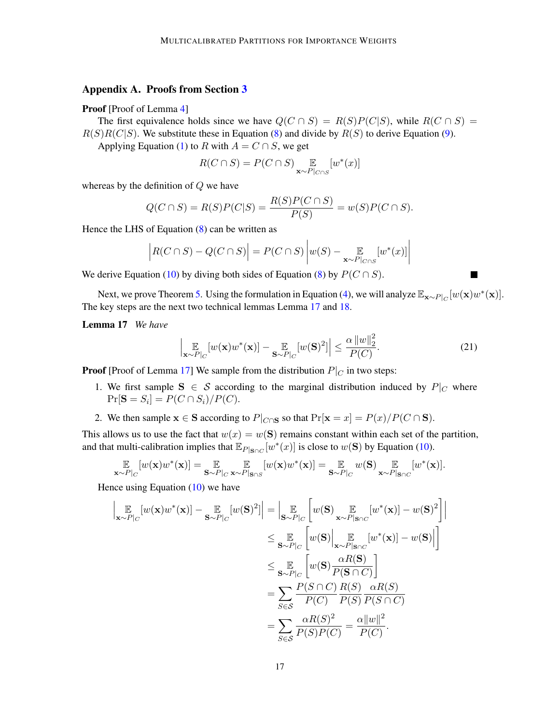# <span id="page-16-0"></span>Appendix A. Proofs from Section [3](#page-4-4)

#### Proof [Proof of Lemma [4\]](#page-4-5)

The first equivalence holds since we have  $Q(C \cap S) = R(S)P(C|S)$ , while  $R(C \cap S) =$  $R(S)R(C|S)$ . We substitute these in Equation [\(8\)](#page-4-1) and divide by  $R(S)$  to derive Equation [\(9\)](#page-4-2).

Applying Equation [\(1\)](#page-2-0) to R with  $A = C \cap S$ , we get

$$
R(C \cap S) = P(C \cap S) \underset{\mathbf{x} \sim P|_{C \cap S}}{\mathbb{E}} [w^*(x)]
$$

whereas by the definition of  $Q$  we have

$$
Q(C \cap S) = R(S)P(C|S) = \frac{R(S)P(C \cap S)}{P(S)} = w(S)P(C \cap S).
$$

Hence the LHS of Equation  $(8)$  can be written as

$$
\left| R(C \cap S) - Q(C \cap S) \right| = P(C \cap S) \left| w(S) - \mathop{\mathbb{E}}_{\mathbf{x} \sim P|_{C \cap S}} [w^*(x)] \right|
$$

We derive Equation [\(10\)](#page-4-3) by diving both sides of Equation [\(8\)](#page-4-1) by  $P(C \cap S)$ .

Next, we prove Theorem [5.](#page-4-0) Using the formulation in Equation [\(4\)](#page-3-2), we will analyze  $\mathbb{E}_{\mathbf{x} \sim P|_C}[w(\mathbf{x})w^*(\mathbf{x})]$ . The key steps are the next two technical lemmas Lemma [17](#page-16-1) and [18.](#page-17-0)

#### <span id="page-16-1"></span>Lemma 17 *We have*

$$
\left|\mathop{\mathbb{E}}_{\mathbf{x}\sim P|_C} [w(\mathbf{x})w^*(\mathbf{x})] - \mathop{\mathbb{E}}_{\mathbf{S}\sim P|_C} [w(\mathbf{S})^2] \right| \leq \frac{\alpha \left\|w\right\|_2^2}{P(C)}.
$$
\n(21)

 $\overline{\phantom{a}}$ 

**Proof** [Proof of Lemma [17\]](#page-16-1) We sample from the distribution  $P|_C$  in two steps:

- 1. We first sample  $S \in S$  according to the marginal distribution induced by  $P|_C$  where  $Pr[\mathbf{S} = S_i] = P(C \cap S_i) / P(C).$
- 2. We then sample  $\mathbf{x} \in \mathbf{S}$  according to  $P|_{C \cap \mathbf{S}}$  so that  $\Pr[\mathbf{x} = x] = P(x)/P(C \cap \mathbf{S})$ .

This allows us to use the fact that  $w(x) = w(S)$  remains constant within each set of the partition, and that multi-calibration implies that  $\mathbb{E}_{P|S \cap C}[w^*(x)]$  is close to  $w(S)$  by Equation [\(10\)](#page-4-3).

$$
\mathop{\mathbb{E}}_{\mathbf{x} \sim P|_C} [w(\mathbf{x})w^*(\mathbf{x})] = \mathop{\mathbb{E}}_{\mathbf{S} \sim P|_C} \mathop{\mathbb{E}}_{\mathbf{x} \sim P|_{\mathbf{S} \cap S}} [w(\mathbf{x})w^*(\mathbf{x})] = \mathop{\mathbb{E}}_{\mathbf{S} \sim P|_C} w(\mathbf{S}) \mathop{\mathbb{E}}_{\mathbf{x} \sim P|_{\mathbf{S} \cap C}} [w^*(\mathbf{x})].
$$

Hence using Equation  $(10)$  we have

$$
\begin{split}\n\left| \mathop{\mathbb{E}}_{\mathbf{x} \sim P|_{C}} [w(\mathbf{x})w^*(\mathbf{x})] - \mathop{\mathbb{E}}_{\mathbf{S} \sim P|_{C}} [w(\mathbf{S})^2] \right| &= \left| \mathop{\mathbb{E}}_{\mathbf{S} \sim P|_{C}} \left[ w(\mathbf{S}) \mathop{\mathbb{E}}_{\mathbf{x} \sim P|_{\mathbf{S} \cap C}} [w^*(\mathbf{x})] - w(\mathbf{S})^2 \right] \right| \\
&\leq \mathop{\mathbb{E}}_{\mathbf{S} \sim P|_{C}} \left[ w(\mathbf{S}) \mathop{\mathbb{E}}_{\mathbf{x} \sim P|_{\mathbf{S} \cap C}} [w^*(\mathbf{x})] - w(\mathbf{S}) \right] \\
&\leq \mathop{\mathbb{E}}_{\mathbf{S} \sim P|_{C}} \left[ w(\mathbf{S}) \frac{\alpha R(\mathbf{S})}{P(\mathbf{S} \cap C)} \right] \\
&= \sum_{S \in \mathcal{S}} \frac{P(S \cap C)}{P(C)} \frac{R(S)}{P(S)} \frac{\alpha R(S)}{P(S \cap C)} \\
&= \sum_{S \in \mathcal{S}} \frac{\alpha R(S)^2}{P(S)P(C)} = \frac{\alpha ||w||^2}{P(C)}.\n\end{split}
$$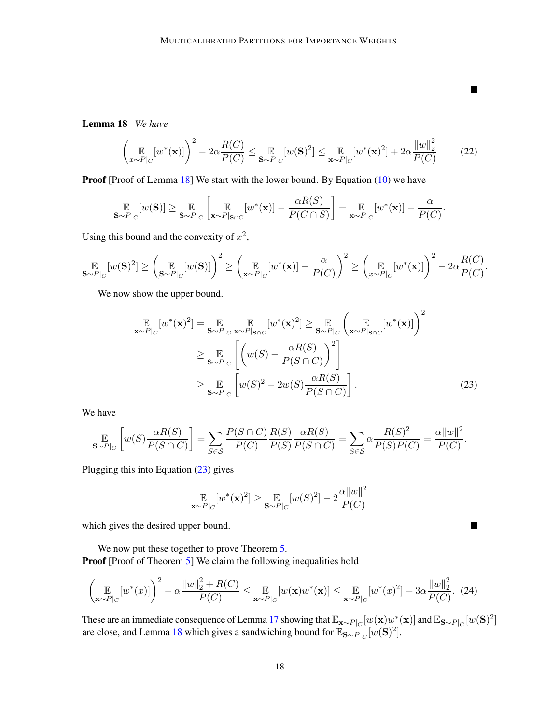<span id="page-17-0"></span>Lemma 18 *We have*

$$
\left(\mathop{\mathbb{E}}_{x \sim P|_{C}}[w^*(\mathbf{x})]\right)^2 - 2\alpha \frac{R(C)}{P(C)} \leq \mathop{\mathbb{E}}_{\mathbf{S} \sim P|_{C}}[w(\mathbf{S})^2] \leq \mathop{\mathbb{E}}_{\mathbf{x} \sim P|_{C}}[w^*(\mathbf{x})^2] + 2\alpha \frac{\|w\|_2^2}{P(C)}\tag{22}
$$

.

 $\blacksquare$ 

<span id="page-17-2"></span><span id="page-17-1"></span> $\blacksquare$ 

Proof [Proof of Lemma [18\]](#page-17-0) We start with the lower bound. By Equation [\(10\)](#page-4-3) we have

$$
\mathop{\mathbb{E}}_{\mathbf{S}\sim P|_C}[w(\mathbf{S})] \geq \mathop{\mathbb{E}}_{\mathbf{S}\sim P|_C} \left[ \mathop{\mathbb{E}}_{\mathbf{x}\sim P|\mathbf{s}\cap C} [w^*(\mathbf{x})] - \frac{\alpha R(S)}{P(C \cap S)} \right] = \mathop{\mathbb{E}}_{\mathbf{x}\sim P|_C} [w^*(\mathbf{x})] - \frac{\alpha}{P(C)}
$$

Using this bound and the convexity of  $x^2$ ,

$$
\mathop{\mathbb{E}}_{\mathbf{S}\sim P|_C}[w(\mathbf{S})^2] \ge \left(\mathop{\mathbb{E}}_{\mathbf{S}\sim P|_C}[w(\mathbf{S})]\right)^2 \ge \left(\mathop{\mathbb{E}}_{\mathbf{x}\sim P|_C}[w^*(\mathbf{x})] - \frac{\alpha}{P(C)}\right)^2 \ge \left(\mathop{\mathbb{E}}_{x\sim P|_C}[w^*(\mathbf{x})]\right)^2 - 2\alpha \frac{R(C)}{P(C)}.
$$

We now show the upper bound.

$$
\mathbb{E}_{\mathbf{x} \sim P|_{C}}[w^{*}(\mathbf{x})^{2}] = \mathbb{E}_{\mathbf{S} \sim P|_{C}} \mathbb{E}_{\mathbf{x} \sim P|\mathbf{s}_{\cap C}}[w^{*}(\mathbf{x})^{2}] \geq \mathbb{E}_{\mathbf{S} \sim P|_{C}}\left(\mathbb{E}_{\mathbf{x} \sim P|\mathbf{s}_{\cap C}}[w^{*}(\mathbf{x})]\right)^{2}
$$
\n
$$
\geq \mathbb{E}_{\mathbf{S} \sim P|_{C}}\left[\left(w(S) - \frac{\alpha R(S)}{P(S \cap C)}\right)^{2}\right]
$$
\n
$$
\geq \mathbb{E}_{\mathbf{S} \sim P|_{C}}\left[w(S)^{2} - 2w(S)\frac{\alpha R(S)}{P(S \cap C)}\right].
$$
\n(23)

 $\overline{2}$ 

We have

$$
\mathop{\mathbb{E}}_{S \sim P|_{C}} \left[ w(S) \frac{\alpha R(S)}{P(S \cap C)} \right] = \sum_{S \in \mathcal{S}} \frac{P(S \cap C)}{P(C)} \frac{R(S)}{P(S)} \frac{\alpha R(S)}{P(S \cap C)} = \sum_{S \in \mathcal{S}} \alpha \frac{R(S)^2}{P(S)P(C)} = \frac{\alpha ||w||^2}{P(C)}.
$$

Plugging this into Equation [\(23\)](#page-17-1) gives

$$
\mathop{\mathbb{E}}_{\mathbf{x} \sim P|_C} [w^*(\mathbf{x})^2] \ge \mathop{\mathbb{E}}_{\mathbf{S} \sim P|_C} [w(S)^2] - 2 \frac{\alpha ||w||^2}{P(C)}
$$

which gives the desired upper bound.

We now put these together to prove Theorem [5.](#page-4-0) Proof [Proof of Theorem [5\]](#page-4-0) We claim the following inequalities hold

$$
\left(\mathop{\mathbb{E}}_{\mathbf{x}\sim P|_C} [w^*(x)]\right)^2 - \alpha \frac{\|w\|_2^2 + R(C)}{P(C)} \leq \mathop{\mathbb{E}}_{\mathbf{x}\sim P|_C} [w(\mathbf{x})w^*(\mathbf{x})] \leq \mathop{\mathbb{E}}_{\mathbf{x}\sim P|_C} [w^*(x)^2] + 3\alpha \frac{\|w\|_2^2}{P(C)}. \tag{24}
$$

These are an immediate consequence of Lemma [17](#page-16-1) showing that  $\mathbb{E}_{\mathbf{x} \sim P_C}[w(\mathbf{x})w^*(\mathbf{x})]$  and  $\mathbb{E}_{\mathbf{S} \sim P_C}[w(\mathbf{S})^2]$ are close, and Lemma [18](#page-17-0) which gives a sandwiching bound for  $\mathbb{E}_{S \sim P|_C} [w(\mathbf{S})^2]$ .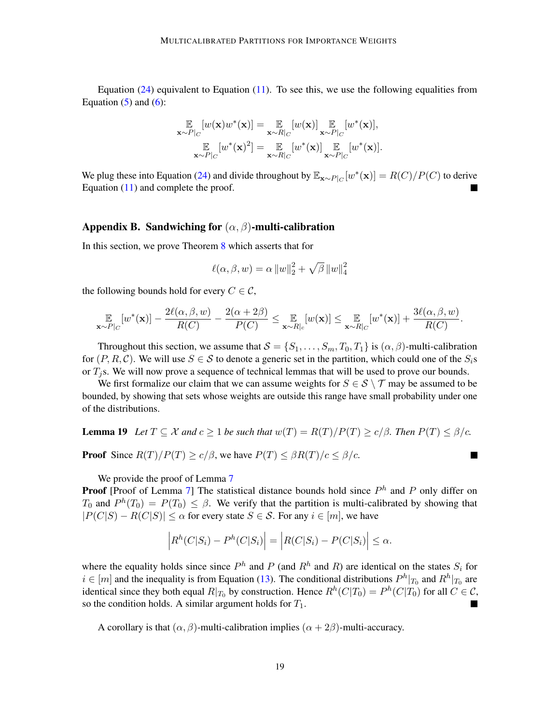Equation  $(24)$  equivalent to Equation  $(11)$ . To see this, we use the following equalities from Equation  $(5)$  and  $(6)$ :

$$
\mathbb{E}_{\mathbf{x} \sim P|_{C}}[w(\mathbf{x})w^*(\mathbf{x})] = \mathbb{E}_{\mathbf{x} \sim R|_{C}}[w(\mathbf{x})] \mathbb{E}_{\mathbf{x} \sim P|_{C}}[w^*(\mathbf{x})],
$$
\n
$$
\mathbb{E}_{\mathbf{x} \sim P|_{C}}[w^*(\mathbf{x})^2] = \mathbb{E}_{\mathbf{x} \sim R|_{C}}[w^*(\mathbf{x})] \mathbb{E}_{\mathbf{x} \sim P|_{C}}[w^*(\mathbf{x})].
$$

We plug these into Equation [\(24\)](#page-17-2) and divide throughout by  $\mathbb{E}_{\mathbf{x} \sim P|_C}[w^*(\mathbf{x})] = R(C)/P(C)$  to derive Equation [\(11\)](#page-5-1) and complete the proof.

# <span id="page-18-0"></span>Appendix B. Sandwiching for  $(\alpha, \beta)$ -multi-calibration

In this section, we prove Theorem [8](#page-6-2) which asserts that for

$$
\ell(\alpha, \beta, w) = \alpha \|w\|_2^2 + \sqrt{\beta} \|w\|_4^2
$$

the following bounds hold for every  $C \in \mathcal{C}$ ,

$$
\mathop{\mathbb{E}}_{\mathbf{x} \sim P|_C}[w^*(\mathbf{x})] - \frac{2\ell(\alpha, \beta, w)}{R(C)} - \frac{2(\alpha + 2\beta)}{P(C)} \leq \mathop{\mathbb{E}}_{\mathbf{x} \sim R|_c}[w(\mathbf{x})] \leq \mathop{\mathbb{E}}_{\mathbf{x} \sim R|_C}[w^*(\mathbf{x})] + \frac{3\ell(\alpha, \beta, w)}{R(C)}.
$$

Throughout this section, we assume that  $S = \{S_1, \ldots, S_m, T_0, T_1\}$  is  $(\alpha, \beta)$ -multi-calibration for  $(P, R, C)$ . We will use  $S \in \mathcal{S}$  to denote a generic set in the partition, which could one of the  $S_i$ s or  $T_i$ s. We will now prove a sequence of technical lemmas that will be used to prove our bounds.

We first formalize our claim that we can assume weights for  $S \in S \setminus \mathcal{T}$  may be assumed to be bounded, by showing that sets whose weights are outside this range have small probability under one of the distributions.

<span id="page-18-2"></span>**Lemma 19** Let 
$$
T \subseteq \mathcal{X}
$$
 and  $c \ge 1$  be such that  $w(T) = R(T)/P(T) \ge c/\beta$ . Then  $P(T) \le \beta/c$ .

<span id="page-18-1"></span>**The Second Second** 

**Proof** Since  $R(T)/P(T) \ge c/\beta$ , we have  $P(T) \le \beta R(T)/c \le \beta/c$ .

We provide the proof of Lemma [7](#page-6-3)

**Proof** [Proof of Lemma [7\]](#page-6-3) The statistical distance bounds hold since  $P<sup>h</sup>$  and P only differ on  $T_0$  and  $P^h(T_0) = P(T_0) \leq \beta$ . We verify that the partition is multi-calibrated by showing that  $|P(C|S) - R(C|S)| \leq \alpha$  for every state  $S \in \mathcal{S}$ . For any  $i \in [m]$ , we have

$$
\left| R^{h}(C|S_{i}) - P^{h}(C|S_{i}) \right| = \left| R(C|S_{i}) - P(C|S_{i}) \right| \leq \alpha.
$$

where the equality holds since since  $P<sup>h</sup>$  and P (and  $R<sup>h</sup>$  and R) are identical on the states  $S<sub>i</sub>$  for  $i \in [m]$  and the inequality is from Equation [\(13\)](#page-5-2). The conditional distributions  $P^h|_{T_0}$  and  $R^h|_{T_0}$  are identical since they both equal  $R|_{T_0}$  by construction. Hence  $R^h(C|T_0) = P^h(C|T_0)$  for all  $C \in \mathcal{C}$ , so the condition holds. A similar argument holds for  $T_1$ .

A corollary is that  $(\alpha, \beta)$ -multi-calibration implies  $(\alpha + 2\beta)$ -multi-accuracy.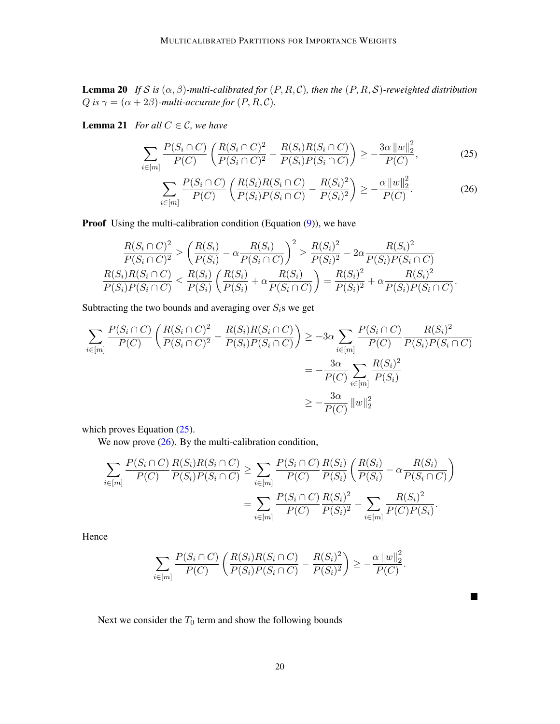**Lemma 20** *If* S is  $(\alpha, \beta)$ -multi-calibrated for  $(P, R, C)$ , then the  $(P, R, S)$ -reweighted distribution Q is  $\gamma = (\alpha + 2\beta)$ *-multi-accurate for*  $(P, R, C)$ *.* 

**Lemma 21** *For all*  $C \in \mathcal{C}$ *, we have* 

$$
\sum_{i \in [m]} \frac{P(S_i \cap C)}{P(C)} \left( \frac{R(S_i \cap C)^2}{P(S_i \cap C)^2} - \frac{R(S_i)R(S_i \cap C)}{P(S_i)P(S_i \cap C)} \right) \ge -\frac{3\alpha \, ||w||_2^2}{P(C)},\tag{25}
$$

<span id="page-19-1"></span><span id="page-19-0"></span>
$$
\sum_{i \in [m]} \frac{P(S_i \cap C)}{P(C)} \left( \frac{R(S_i)R(S_i \cap C)}{P(S_i)P(S_i \cap C)} - \frac{R(S_i)^2}{P(S_i)^2} \right) \ge -\frac{\alpha ||w||_2^2}{P(C)}.
$$
\n(26)

**Proof** Using the multi-calibration condition (Equation  $(9)$ ), we have

$$
\frac{R(S_i \cap C)^2}{P(S_i \cap C)^2} \ge \left(\frac{R(S_i)}{P(S_i)} - \alpha \frac{R(S_i)}{P(S_i \cap C)}\right)^2 \ge \frac{R(S_i)^2}{P(S_i)^2} - 2\alpha \frac{R(S_i)^2}{P(S_i)P(S_i \cap C)}
$$
  

$$
\frac{R(S_i)R(S_i \cap C)}{P(S_i)P(S_i \cap C)} \le \frac{R(S_i)}{P(S_i)} \left(\frac{R(S_i)}{P(S_i)} + \alpha \frac{R(S_i)}{P(S_i \cap C)}\right) = \frac{R(S_i)^2}{P(S_i)^2} + \alpha \frac{R(S_i)^2}{P(S_i)P(S_i \cap C)}.
$$

Subtracting the two bounds and averaging over  $S_i$ s we get

$$
\sum_{i \in [m]} \frac{P(S_i \cap C)}{P(C)} \left( \frac{R(S_i \cap C)^2}{P(S_i \cap C)^2} - \frac{R(S_i)R(S_i \cap C)}{P(S_i)P(S_i \cap C)} \right) \ge -3\alpha \sum_{i \in [m]} \frac{P(S_i \cap C)}{P(C)} \frac{R(S_i)^2}{P(S_i)P(S_i \cap C)} \\
= -\frac{3\alpha}{P(C)} \sum_{i \in [m]} \frac{R(S_i)^2}{P(S_i)} \\
\ge -\frac{3\alpha}{P(C)} ||w||_2^2
$$

which proves Equation  $(25)$ .

We now prove  $(26)$ . By the multi-calibration condition,

$$
\sum_{i \in [m]} \frac{P(S_i \cap C) \, R(S_i) R(S_i \cap C)}{P(C) \, P(S_i) P(S_i \cap C)} \geq \sum_{i \in [m]} \frac{P(S_i \cap C) \, R(S_i)}{P(C) \, P(S_i)} \left( \frac{R(S_i)}{P(S_i)} - \alpha \frac{R(S_i)}{P(S_i \cap C)} \right)
$$
\n
$$
= \sum_{i \in [m]} \frac{P(S_i \cap C) \, R(S_i)^2}{P(C) \, P(S_i)^2} - \sum_{i \in [m]} \frac{R(S_i)^2}{P(C) P(S_i)}.
$$

Hence

$$
\sum_{i \in [m]} \frac{P(S_i \cap C)}{P(C)} \left( \frac{R(S_i)R(S_i \cap C)}{P(S_i)P(S_i \cap C)} - \frac{R(S_i)^2}{P(S_i)^2} \right) \ge -\frac{\alpha ||w||_2^2}{P(C)}.
$$

 $\blacksquare$ 

Next we consider the  $T_0$  term and show the following bounds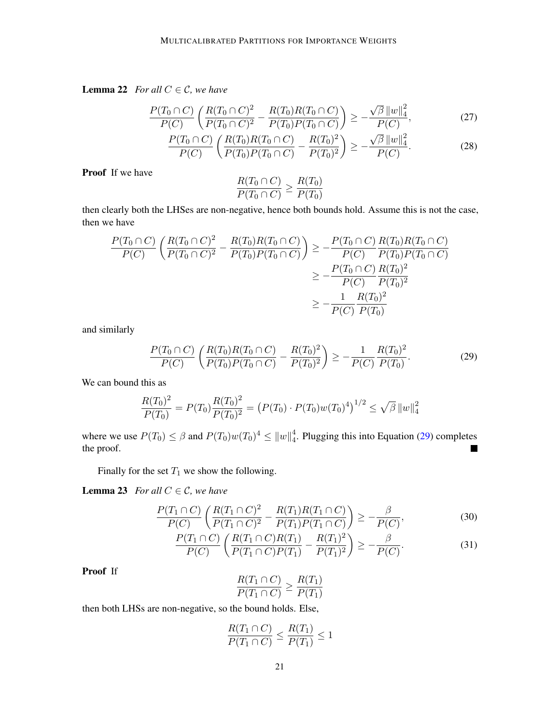**Lemma 22** *For all*  $C \in \mathcal{C}$ *, we have* 

$$
\frac{P(T_0 \cap C)}{P(C)} \left( \frac{R(T_0 \cap C)^2}{P(T_0 \cap C)^2} - \frac{R(T_0)R(T_0 \cap C)}{P(T_0)P(T_0 \cap C)} \right) \ge -\frac{\sqrt{\beta} ||w||_4^2}{P(C)},\tag{27}
$$

$$
\frac{P(T_0 \cap C)}{P(C)} \left( \frac{R(T_0)R(T_0 \cap C)}{P(T_0)P(T_0 \cap C)} - \frac{R(T_0)^2}{P(T_0)^2} \right) \ge -\frac{\sqrt{\beta} \|w\|_4^2}{P(C)}.
$$
 (28)

Proof If we have

<span id="page-20-3"></span><span id="page-20-0"></span>
$$
\frac{R(T_0 \cap C)}{P(T_0 \cap C)} \ge \frac{R(T_0)}{P(T_0)}
$$

then clearly both the LHSes are non-negative, hence both bounds hold. Assume this is not the case, then we have

$$
\frac{P(T_0 \cap C)}{P(C)} \left( \frac{R(T_0 \cap C)^2}{P(T_0 \cap C)^2} - \frac{R(T_0)R(T_0 \cap C)}{P(T_0)P(T_0 \cap C)} \right) \ge -\frac{P(T_0 \cap C)}{P(C)} \frac{R(T_0)R(T_0 \cap C)}{P(T_0)P(T_0 \cap C)}
$$
  
\n
$$
\ge -\frac{P(T_0 \cap C)}{P(C)} \frac{R(T_0)^2}{P(T_0)^2}
$$
  
\n
$$
\ge -\frac{1}{P(C)} \frac{R(T_0)^2}{P(T_0)}
$$

and similarly

$$
\frac{P(T_0 \cap C)}{P(C)} \left( \frac{R(T_0)R(T_0 \cap C)}{P(T_0)P(T_0 \cap C)} - \frac{R(T_0)^2}{P(T_0)^2} \right) \ge -\frac{1}{P(C)} \frac{R(T_0)^2}{P(T_0)}.
$$
\n(29)

We can bound this as

$$
\frac{R(T_0)^2}{P(T_0)} = P(T_0) \frac{R(T_0)^2}{P(T_0)^2} = (P(T_0) \cdot P(T_0) w(T_0)^4)^{1/2} \le \sqrt{\beta} \|w\|_4^2
$$

where we use  $P(T_0) \le \beta$  and  $P(T_0)w(T_0)^4 \le ||w||_4^4$  $_4^4$ . Plugging this into Equation [\(29\)](#page-20-0) completes the proof. п

Finally for the set  $T_1$  we show the following.

**Lemma 23** *For all*  $C \in \mathcal{C}$ *, we have* 

$$
\frac{P(T_1 \cap C)}{P(C)} \left( \frac{R(T_1 \cap C)^2}{P(T_1 \cap C)^2} - \frac{R(T_1)R(T_1 \cap C)}{P(T_1)P(T_1 \cap C)} \right) \ge -\frac{\beta}{P(C)},
$$
\n(30)

$$
\frac{P(T_1 \cap C)}{P(C)} \left( \frac{R(T_1 \cap C)R(T_1)}{P(T_1 \cap C)P(T_1)} - \frac{R(T_1)^2}{P(T_1)^2} \right) \ge -\frac{\beta}{P(C)}.
$$
\n(31)

Proof If

<span id="page-20-2"></span><span id="page-20-1"></span>
$$
\frac{R(T_1 \cap C)}{P(T_1 \cap C)} \ge \frac{R(T_1)}{P(T_1)}
$$

then both LHSs are non-negative, so the bound holds. Else,

$$
\frac{R(T_1 \cap C)}{P(T_1 \cap C)} \le \frac{R(T_1)}{P(T_1)} \le 1
$$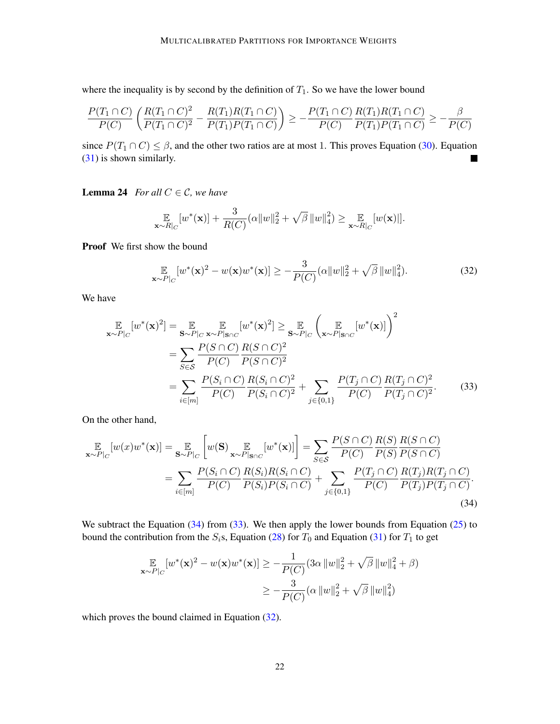where the inequality is by second by the definition of  $T_1$ . So we have the lower bound

$$
\frac{P(T_1 \cap C)}{P(C)} \left( \frac{R(T_1 \cap C)^2}{P(T_1 \cap C)^2} - \frac{R(T_1)R(T_1 \cap C)}{P(T_1)P(T_1 \cap C)} \right) \ge -\frac{P(T_1 \cap C)}{P(C)} \frac{R(T_1)R(T_1 \cap C)}{P(T_1)P(T_1 \cap C)} \ge -\frac{\beta}{P(C)}
$$

since  $P(T_1 \cap C) \leq \beta$ , and the other two ratios are at most 1. This proves Equation [\(30\)](#page-20-1). Equation [\(31\)](#page-20-2) is shown similarly.  $\blacksquare$ 

**Lemma 24** *For all*  $C \in \mathcal{C}$ *, we have* 

$$
\mathop{\mathbb{E}}_{\mathbf{x} \sim R|_C} [w^*(\mathbf{x})] + \frac{3}{R(C)} (\alpha \|w\|_2^2 + \sqrt{\beta} \|w\|_4^2) \geq \mathop{\mathbb{E}}_{\mathbf{x} \sim R|_C} [w(\mathbf{x})]].
$$

Proof We first show the bound

<span id="page-21-2"></span><span id="page-21-1"></span>
$$
\mathbb{E}_{\mathbf{x} \sim P|_{C}}[w^{*}(\mathbf{x})^{2} - w(\mathbf{x})w^{*}(\mathbf{x})] \ge -\frac{3}{P(C)}(\alpha \|w\|_{2}^{2} + \sqrt{\beta} \|w\|_{4}^{2}).
$$
\n(32)

We have

$$
\mathbb{E}_{\mathbf{x} \sim P|_{C}}[w^{*}(\mathbf{x})^{2}] = \mathbb{E}_{\mathbf{S} \sim P|_{C} \mathbf{x} \sim P|\mathbf{s}_{\cap C}}[w^{*}(\mathbf{x})^{2}] \geq \mathbb{E}_{\mathbf{S} \sim P|_{C}}\left(\mathbb{E}_{\mathbf{x} \sim P|\mathbf{s}_{\cap C}}[w^{*}(\mathbf{x})]\right)^{2}
$$
\n
$$
= \sum_{S \in \mathcal{S}} \frac{P(S \cap C)}{P(C)} \frac{R(S \cap C)^{2}}{P(S \cap C)^{2}}
$$
\n
$$
= \sum_{i \in [m]} \frac{P(S_{i} \cap C)}{P(C)} \frac{R(S_{i} \cap C)^{2}}{P(S_{i} \cap C)^{2}} + \sum_{j \in \{0,1\}} \frac{P(T_{j} \cap C)}{P(C)} \frac{R(T_{j} \cap C)^{2}}{P(T_{j} \cap C)^{2}}.
$$
\n(33)

On the other hand,

$$
\mathbb{E}_{\mathbf{x} \sim P|_{C}}[w(x)w^*(\mathbf{x})] = \mathbb{E}_{\mathbf{S} \sim P|_{C}}\left[w(\mathbf{S}) \mathbb{E}_{\mathbf{x} \sim P|\mathbf{s} \cap C}[w^*(\mathbf{x})]\right] = \sum_{S \in \mathcal{S}} \frac{P(S \cap C)}{P(C)} \frac{R(S)}{P(S)} \frac{R(S \cap C)}{P(S \cap C)}
$$

$$
= \sum_{i \in [m]} \frac{P(S_i \cap C)}{P(C)} \frac{R(S_i)R(S_i \cap C)}{P(S_i)P(S_i \cap C)} + \sum_{j \in \{0,1\}} \frac{P(T_j \cap C)}{P(C)} \frac{R(T_j)R(T_j \cap C)}{P(T_j)P(T_j \cap C)}.
$$
(34)

We subtract the Equation  $(34)$  from  $(33)$ . We then apply the lower bounds from Equation  $(25)$  to bound the contribution from the  $S_i$ s, Equation [\(28\)](#page-20-3) for  $T_0$  and Equation [\(31\)](#page-20-2) for  $T_1$  to get

<span id="page-21-0"></span>
$$
\mathbb{E}_{\mathbf{x} \sim P|_{C}}[w^{*}(\mathbf{x})^{2} - w(\mathbf{x})w^{*}(\mathbf{x})] \ge -\frac{1}{P(C)} (3\alpha \left\|w\right\|_{2}^{2} + \sqrt{\beta} \left\|w\right\|_{4}^{2} + \beta)
$$

$$
\ge -\frac{3}{P(C)} (\alpha \left\|w\right\|_{2}^{2} + \sqrt{\beta} \left\|w\right\|_{4}^{2})
$$

which proves the bound claimed in Equation [\(32\)](#page-21-2).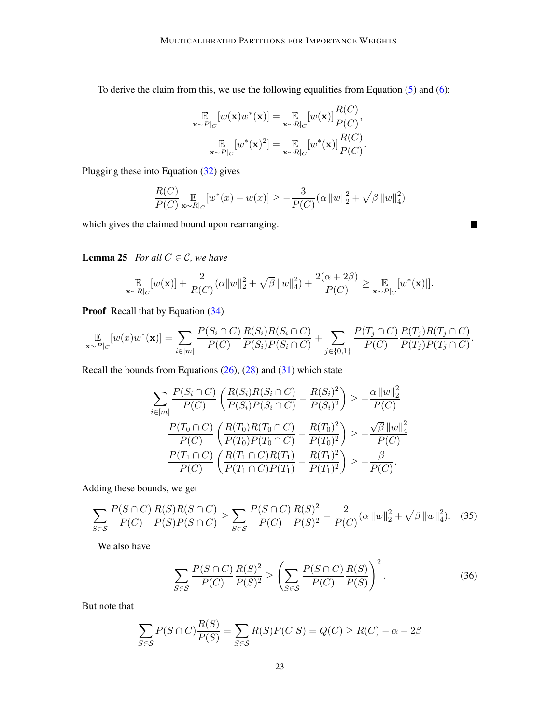To derive the claim from this, we use the following equalities from Equation [\(5\)](#page-3-4) and [\(6\)](#page-3-5):

$$
\mathbb{E}_{\mathbf{x} \sim P|_C} [w(\mathbf{x})w^*(\mathbf{x})] = \mathbb{E}_{\mathbf{x} \sim R|_C} [w(\mathbf{x})] \frac{R(C)}{P(C)},
$$
  

$$
\mathbb{E}_{\mathbf{x} \sim P|_C} [w^*(\mathbf{x})^2] = \mathbb{E}_{\mathbf{x} \sim R|_C} [w^*(\mathbf{x})] \frac{R(C)}{P(C)}.
$$

Plugging these into Equation [\(32\)](#page-21-2) gives

$$
\frac{R(C)}{P(C)} \underset{\mathbf{x} \sim R|_C}{\mathbb{E}} [w^*(x) - w(x)] \ge -\frac{3}{P(C)} (\alpha ||w||_2^2 + \sqrt{\beta} ||w||_4^2)
$$

<span id="page-22-1"></span> $\blacksquare$ 

which gives the claimed bound upon rearranging.

**Lemma 25** *For all*  $C \in \mathcal{C}$ *, we have* 

$$
\mathop{\mathbb{E}}_{\mathbf{x}\sim R|_C} [w(\mathbf{x})] + \frac{2}{R(C)} (\alpha \|w\|_2^2 + \sqrt{\beta} \|w\|_4^2) + \frac{2(\alpha+2\beta)}{P(C)} \geq \mathop{\mathbb{E}}_{\mathbf{x}\sim P|_C} [w^*(\mathbf{x})]].
$$

Proof Recall that by Equation  $(34)$ 

$$
\mathop{\mathbb{E}}_{\mathbf{x}\sim P|_{C}}[w(x)w^{*}(\mathbf{x})] = \sum_{i\in[m]} \frac{P(S_{i}\cap C)}{P(C)} \frac{R(S_{i})R(S_{i}\cap C)}{P(S_{i})P(S_{i}\cap C)} + \sum_{j\in\{0,1\}} \frac{P(T_{j}\cap C)}{P(C)} \frac{R(T_{j})R(T_{j}\cap C)}{P(T_{j})P(T_{j}\cap C)}.
$$

Recall the bounds from Equations  $(26)$ ,  $(28)$  and  $(31)$  which state

$$
\sum_{i \in [m]} \frac{P(S_i \cap C)}{P(C)} \left( \frac{R(S_i)R(S_i \cap C)}{P(S_i)P(S_i \cap C)} - \frac{R(S_i)^2}{P(S_i)^2} \right) \ge -\frac{\alpha ||w||_2^2}{P(C)}
$$

$$
\frac{P(T_0 \cap C)}{P(C)} \left( \frac{R(T_0)R(T_0 \cap C)}{P(T_0)P(T_0 \cap C)} - \frac{R(T_0)^2}{P(T_0)^2} \right) \ge -\frac{\sqrt{\beta} ||w||_4^2}{P(C)}
$$

$$
\frac{P(T_1 \cap C)}{P(C)} \left( \frac{R(T_1 \cap C)R(T_1)}{P(T_1 \cap C)P(T_1)} - \frac{R(T_1)^2}{P(T_1)^2} \right) \ge -\frac{\beta}{P(C)}.
$$

Adding these bounds, we get

$$
\sum_{S \in \mathcal{S}} \frac{P(S \cap C)}{P(C)} \frac{R(S)R(S \cap C)}{P(S)P(S \cap C)} \ge \sum_{S \in \mathcal{S}} \frac{P(S \cap C)}{P(C)} \frac{R(S)^2}{P(S)^2} - \frac{2}{P(C)} (\alpha \|w\|_2^2 + \sqrt{\beta} \|w\|_4^2). \tag{35}
$$

We also have

<span id="page-22-0"></span>
$$
\sum_{S \in \mathcal{S}} \frac{P(S \cap C)}{P(C)} \frac{R(S)^2}{P(S)^2} \ge \left(\sum_{S \in \mathcal{S}} \frac{P(S \cap C)}{P(C)} \frac{R(S)}{P(S)}\right)^2.
$$
\n(36)

But note that

$$
\sum_{S \in \mathcal{S}} P(S \cap C) \frac{R(S)}{P(S)} = \sum_{S \in \mathcal{S}} R(S) P(C|S) = Q(C) \ge R(C) - \alpha - 2\beta
$$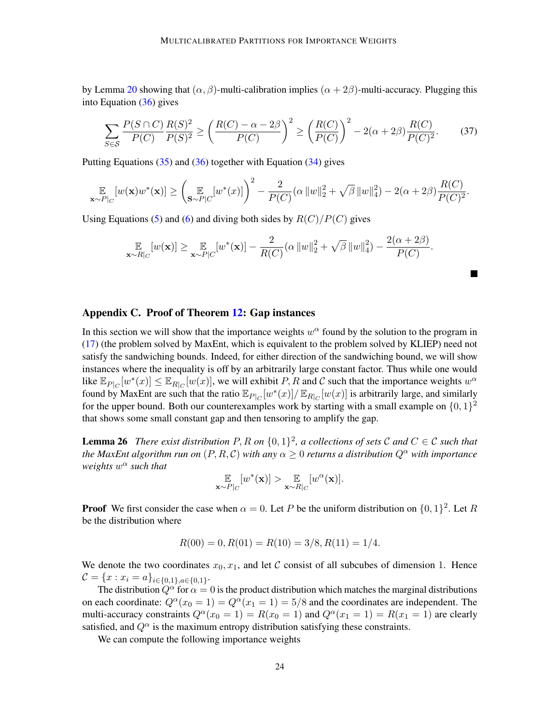by Lemma [20](#page-18-1) showing that  $(\alpha, \beta)$ -multi-calibration implies  $(\alpha + 2\beta)$ -multi-accuracy. Plugging this into Equation [\(36\)](#page-22-0) gives

$$
\sum_{S \in \mathcal{S}} \frac{P(S \cap C)}{P(C)} \frac{R(S)^2}{P(S)^2} \ge \left(\frac{R(C) - \alpha - 2\beta}{P(C)}\right)^2 \ge \left(\frac{R(C)}{P(C)}\right)^2 - 2(\alpha + 2\beta) \frac{R(C)}{P(C)^2}.
$$
 (37)

Putting Equations  $(35)$  and  $(36)$  together with Equation  $(34)$  gives

$$
\mathop{\mathbb{E}}_{\mathbf{x} \sim P|_C} [w(\mathbf{x})w^*(\mathbf{x})] \ge \left(\mathop{\mathbb{E}}_{\mathbf{S} \sim P|C} [w^*(x)]\right)^2 - \frac{2}{P(C)} (\alpha \left\|w\right\|_2^2 + \sqrt{\beta} \left\|w\right\|_4^2) - 2(\alpha + 2\beta) \frac{R(C)}{P(C)^2}.
$$

Using Equations [\(5\)](#page-3-4) and [\(6\)](#page-3-5) and diving both sides by  $R(C)/P(C)$  gives

$$
\mathop{\mathbb{E}}_{\mathbf{x} \sim R|_C} [w(\mathbf{x})] \geq \mathop{\mathbb{E}}_{\mathbf{x} \sim P|C} [w^*(\mathbf{x})] - \frac{2}{R(C)} (\alpha ||w||_2^2 + \sqrt{\beta} ||w||_4^2) - \frac{2(\alpha + 2\beta)}{P(C)}.
$$

#### <span id="page-23-0"></span>Appendix C. Proof of Theorem [12:](#page-7-1) Gap instances

In this section we will show that the importance weights  $w^{\alpha}$  found by the solution to the program in [\(17\)](#page-7-0) (the problem solved by MaxEnt, which is equivalent to the problem solved by KLIEP) need not satisfy the sandwiching bounds. Indeed, for either direction of the sandwiching bound, we will show instances where the inequality is off by an arbitrarily large constant factor. Thus while one would like  $\mathbb{E}_{P|_C}[w^*(x)] \leq \mathbb{E}_{R|_C}[w(x)]$ , we will exhibit P, R and C such that the importance weights  $w^{\alpha}$ found by MaxEnt are such that the ratio  $\mathbb{E}_{P|_C}[w^*(x)]/\mathbb{E}_{R|_C}[w(x)]$  is arbitrarily large, and similarly for the upper bound. Both our counterexamples work by starting with a small example on  $\{0, 1\}^2$ that shows some small constant gap and then tensoring to amplify the gap.

<span id="page-23-1"></span>**Lemma 26** There exist distribution P, R on  $\{0,1\}^2$ , a collections of sets C and  $C \in \mathcal{C}$  such that *the MaxEnt algorithm run on*  $(P, R, C)$  *with any*  $\alpha > 0$  *returns a distribution*  $Q^{\alpha}$  *with importance weights* w <sup>α</sup> *such that*

$$
\mathop{\mathbb{E}}_{\mathbf{x} \sim P|_C} [w^*(\mathbf{x})] > \mathop{\mathbb{E}}_{\mathbf{x} \sim R|_C} [w^\alpha(\mathbf{x})].
$$

**Proof** We first consider the case when  $\alpha = 0$ . Let P be the uniform distribution on  $\{0, 1\}^2$ . Let R be the distribution where

$$
R(00) = 0, R(01) = R(10) = 3/8, R(11) = 1/4.
$$

We denote the two coordinates  $x_0, x_1$ , and let C consist of all subcubes of dimension 1. Hence  $\mathcal{C} = \{x : x_i = a\}_{i \in \{0,1\}, a \in \{0,1\}}.$ 

The distribution  $Q^{\alpha}$  for  $\alpha = 0$  is the product distribution which matches the marginal distributions on each coordinate:  $Q^{\alpha}(x_0 = 1) = Q^{\alpha}(x_1 = 1) = 5/8$  and the coordinates are independent. The multi-accuracy constraints  $Q^{\alpha}(x_0 = 1) = R(x_0 = 1)$  and  $Q^{\alpha}(x_1 = 1) = R(x_1 = 1)$  are clearly satisfied, and  $Q^{\alpha}$  is the maximum entropy distribution satisfying these constraints.

We can compute the following importance weights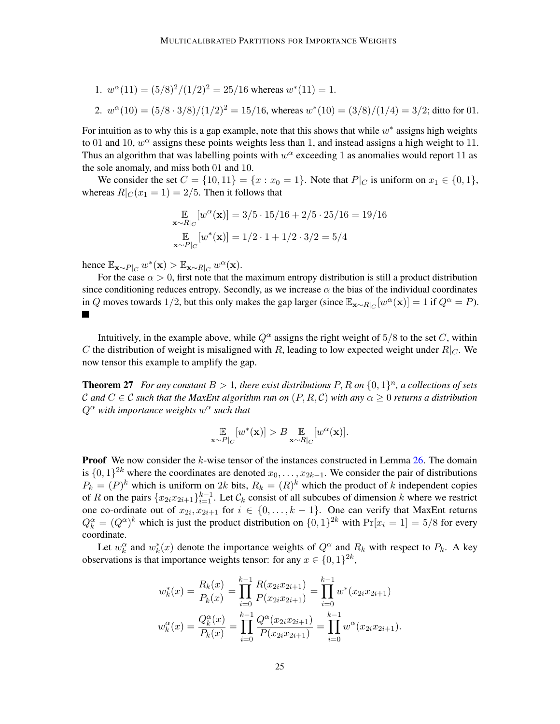\n- 1. 
$$
w^{\alpha}(11) = \frac{5}{8}^2 / \frac{1}{2^2} = \frac{25}{16}
$$
 whereas  $w^*(11) = 1$ .
\n- 2.  $w^{\alpha}(10) = \frac{5}{8 \cdot 3}{8} / \frac{1}{2^2} = \frac{15}{16}$ , whereas  $w^*(10) = \frac{3}{8} / \frac{1}{4} = \frac{3}{2}$ ; ditto for 01.
\n

For intuition as to why this is a gap example, note that this shows that while  $w^*$  assigns high weights to 01 and 10,  $w^{\alpha}$  assigns these points weights less than 1, and instead assigns a high weight to 11. Thus an algorithm that was labelling points with  $w^{\alpha}$  exceeding 1 as anomalies would report 11 as the sole anomaly, and miss both 01 and 10.

We consider the set  $C = \{10, 11\} = \{x : x_0 = 1\}$ . Note that  $P|_C$  is uniform on  $x_1 \in \{0, 1\}$ , whereas  $R|_{C}(x_1 = 1) = 2/5$ . Then it follows that

$$
\mathbb{E}_{\mathbf{x} \sim R|_C} [w^{\alpha}(\mathbf{x})] = 3/5 \cdot 15/16 + 2/5 \cdot 25/16 = 19/16
$$
  

$$
\mathbb{E}_{\mathbf{x} \sim P|_C} [w^*(\mathbf{x})] = 1/2 \cdot 1 + 1/2 \cdot 3/2 = 5/4
$$

hence  $\mathbb{E}_{\mathbf{x} \sim P|_C} w^*(\mathbf{x}) > \mathbb{E}_{\mathbf{x} \sim R|_C} w^{\alpha}(\mathbf{x})$ .

For the case  $\alpha > 0$ , first note that the maximum entropy distribution is still a product distribution since conditioning reduces entropy. Secondly, as we increase  $\alpha$  the bias of the individual coordinates in Q moves towards 1/2, but this only makes the gap larger (since  $\mathbb{E}_{\mathbf{x} \sim R|_C} [w^{\alpha}(\mathbf{x})] = 1$  if  $Q^{\alpha} = P$ ).  $\blacksquare$ 

Intuitively, in the example above, while  $Q^{\alpha}$  assigns the right weight of 5/8 to the set C, within C the distribution of weight is misaligned with R, leading to low expected weight under  $R|_C$ . We now tensor this example to amplify the gap.

**Theorem 27** For any constant  $B > 1$ , there exist distributions  $P$ ,  $R$  on  $\{0,1\}^n$ , a collections of sets C and  $C \in \mathcal{C}$  such that the MaxEnt algorithm run on  $(P, R, \mathcal{C})$  with any  $\alpha \geq 0$  returns a distribution  $Q^{\alpha}$  with importance weights  $w^{\alpha}$  such that

$$
\mathop{\mathbb{E}}_{\mathbf{x} \sim P|_C} [w^*(\mathbf{x})] > B \mathop{\mathbb{E}}_{\mathbf{x} \sim R|_C} [w^\alpha(\mathbf{x})].
$$

**Proof** We now consider the  $k$ -wise tensor of the instances constructed in Lemma [26.](#page-23-1) The domain is  $\{0,1\}^{2k}$  where the coordinates are denoted  $x_0, \ldots, x_{2k-1}$ . We consider the pair of distributions  $P_k = (P)^k$  which is uniform on 2k bits,  $R_k = (R)^k$  which the product of k independent copies of R on the pairs  $\{x_{2i}x_{2i+1}\}_{i=1}^{k-1}$ . Let  $\mathcal{C}_k$  consist of all subcubes of dimension k where we restrict one co-ordinate out of  $x_{2i}, x_{2i+1}$  for  $i \in \{0, \ldots, k-1\}$ . One can verify that MaxEnt returns  $Q_k^{\alpha} = (Q^{\alpha})^k$  which is just the product distribution on  $\{0, 1\}^{2k}$  with  $\Pr[x_i = 1] = 5/8$  for every coordinate.

Let  $w_k^{\alpha}$  and  $w_k^*(x)$  denote the importance weights of  $Q^{\alpha}$  and  $R_k$  with respect to  $P_k$ . A key observations is that importance weights tensor: for any  $x \in \{0,1\}^{2k}$ ,

$$
w_k^*(x) = \frac{R_k(x)}{P_k(x)} = \prod_{i=0}^{k-1} \frac{R(x_{2i}x_{2i+1})}{P(x_{2i}x_{2i+1})} = \prod_{i=0}^{k-1} w^*(x_{2i}x_{2i+1})
$$
  

$$
w_k^{\alpha}(x) = \frac{Q_k^{\alpha}(x)}{P_k(x)} = \prod_{i=0}^{k-1} \frac{Q^{\alpha}(x_{2i}x_{2i+1})}{P(x_{2i}x_{2i+1})} = \prod_{i=0}^{k-1} w^{\alpha}(x_{2i}x_{2i+1}).
$$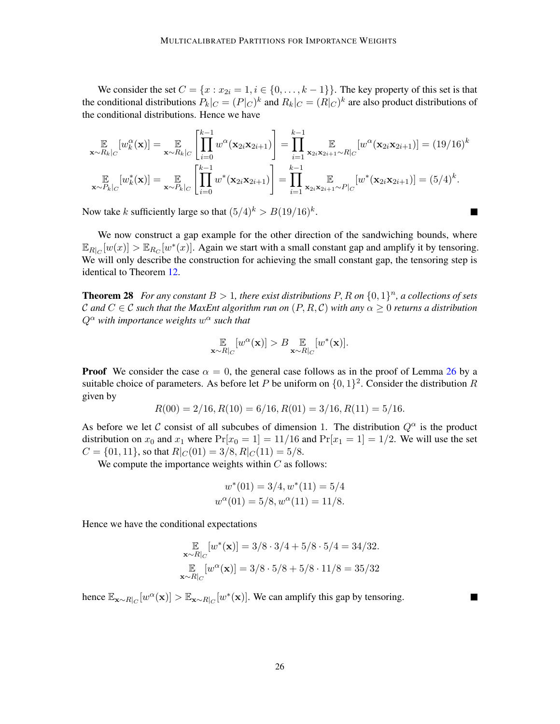We consider the set  $C = \{x : x_{2i} = 1, i \in \{0, \ldots, k-1\}\}\.$  The key property of this set is that the conditional distributions  $P_k|_C = (P|_C)^k$  and  $R_k|_C = (R|_C)^k$  are also product distributions of the conditional distributions. Hence we have

$$
\mathop{\mathbb{E}}_{\mathbf{x}\sim R_k|_C}[w_k^{\alpha}(\mathbf{x})] = \mathop{\mathbb{E}}_{\mathbf{x}\sim R_k|_C}\left[\prod_{i=0}^{k-1} w^{\alpha}(\mathbf{x}_{2i}\mathbf{x}_{2i+1})\right] = \prod_{i=1}^{k-1} \mathop{\mathbb{E}}_{\mathbf{x}_{2i}\mathbf{x}_{2i+1}\sim R|_C}[w^{\alpha}(\mathbf{x}_{2i}\mathbf{x}_{2i+1})] = (19/16)^k
$$
\n
$$
\mathop{\mathbb{E}}_{\mathbf{x}\sim P_k|_C}[w_k^*(\mathbf{x})] = \mathop{\mathbb{E}}_{\mathbf{x}\sim P_k|_C}\left[\prod_{i=0}^{k-1} w^*(\mathbf{x}_{2i}\mathbf{x}_{2i+1})\right] = \prod_{i=1}^{k-1} \mathop{\mathbb{E}}_{\mathbf{x}_{2i}\mathbf{x}_{2i+1}\sim P|_C}[w^*(\mathbf{x}_{2i}\mathbf{x}_{2i+1})] = (5/4)^k.
$$

Now take k sufficiently large so that  $(5/4)^k > B(19/16)^k$ .

We now construct a gap example for the other direction of the sandwiching bounds, where  $\mathbb{E}_{R|_C}[w(x)] > \mathbb{E}_{R_C}[w^*(x)]$ . Again we start with a small constant gap and amplify it by tensoring. We will only describe the construction for achieving the small constant gap, the tensoring step is identical to Theorem [12.](#page-7-1)

**Theorem 28** For any constant  $B > 1$ , there exist distributions  $P$ ,  $R$  on  $\{0,1\}^n$ , a collections of sets C and  $C \in \mathcal{C}$  such that the MaxEnt algorithm run on  $(P, R, \mathcal{C})$  with any  $\alpha > 0$  returns a distribution  $Q^{\alpha}$  with importance weights  $w^{\alpha}$  such that

$$
\mathop{\mathbb{E}}_{\mathbf{x} \sim R|_C} [w^{\alpha}(\mathbf{x})] > B \mathop{\mathbb{E}}_{\mathbf{x} \sim R|_C} [w^*(\mathbf{x})].
$$

**Proof** We consider the case  $\alpha = 0$ , the general case follows as in the proof of Lemma [26](#page-23-1) by a suitable choice of parameters. As before let P be uniform on  $\{0, 1\}^2$ . Consider the distribution R given by

$$
R(00) = 2/16, R(10) = 6/16, R(01) = 3/16, R(11) = 5/16.
$$

As before we let C consist of all subcubes of dimension 1. The distribution  $Q^{\alpha}$  is the product distribution on  $x_0$  and  $x_1$  where  $Pr[x_0 = 1] = 11/16$  and  $Pr[x_1 = 1] = 1/2$ . We will use the set  $C = \{01, 11\}$ , so that  $R|_C(01) = 3/8, R|_C(11) = 5/8$ .

We compute the importance weights within  $C$  as follows:

$$
w^*(01) = 3/4, w^*(11) = 5/4
$$
  

$$
w^{\alpha}(01) = 5/8, w^{\alpha}(11) = 11/8.
$$

Hence we have the conditional expectations

$$
\mathbb{E}_{\mathbf{x} \sim R|_C} [w^*(\mathbf{x})] = 3/8 \cdot 3/4 + 5/8 \cdot 5/4 = 34/32.
$$
  

$$
\mathbb{E}_{\mathbf{x} \sim R|_C} [w^\alpha(\mathbf{x})] = 3/8 \cdot 5/8 + 5/8 \cdot 11/8 = 35/32
$$

hence  $\mathbb{E}_{\mathbf{x} \sim R|_C} [w^{\alpha}(\mathbf{x})] > \mathbb{E}_{\mathbf{x} \sim R|_C} [w^*(\mathbf{x})]$ . We can amplify this gap by tensoring.

 $\blacksquare$ 

 $\blacksquare$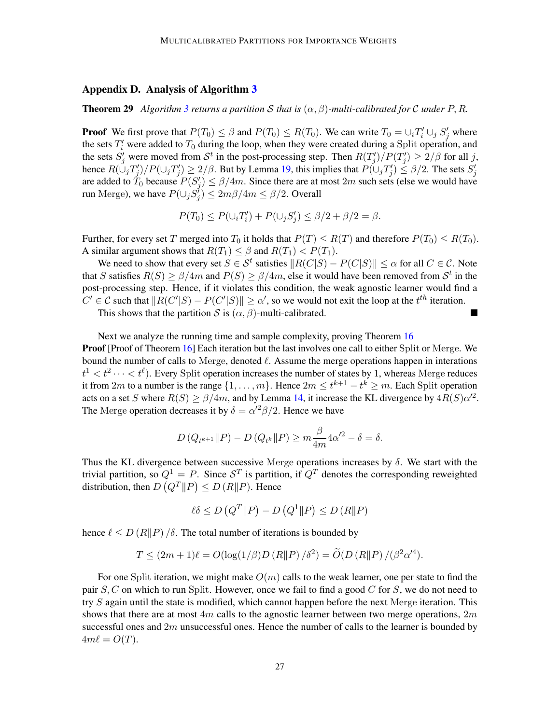#### <span id="page-26-0"></span>Appendix D. Analysis of Algorithm [3](#page-11-0)

**Theorem 29** Algorithm [3](#page-11-0) returns a partition S that is  $(\alpha, \beta)$ -multi-calibrated for C under P, R.

**Proof** We first prove that  $P(T_0) \le \beta$  and  $P(T_0) \le R(T_0)$ . We can write  $T_0 = \bigcup_i T'_i \cup_j S'_j$  where the sets  $T_i'$  were added to  $T_0$  during the loop, when they were created during a Split operation, and the sets  $S'_j$  were moved from  $\mathcal{S}^t$  in the post-processing step. Then  $R(T'_j)/P(T'_j) \geq 2/\beta$  for all j, hence  $R(\bigcup_j T'_j)/P(\bigcup_j T'_j) \ge 2/\beta$ . But by Lemma [19,](#page-18-2) this implies that  $P(\bigcup_j T'_j) \le \beta/2$ . The sets  $S'_j$ are added to  $\tilde{T}_0$  because  $P(S'_j) \le \beta/4m$ . Since there are at most  $2m$  such sets (else we would have run Merge), we have  $P(\cup_j S_j') \leq 2m\beta/4m \leq \beta/2$ . Overall

$$
P(T_0) \le P(\cup_i T'_i) + P(\cup_j S'_j) \le \beta/2 + \beta/2 = \beta.
$$

Further, for every set T merged into  $T_0$  it holds that  $P(T) \le R(T)$  and therefore  $P(T_0) \le R(T_0)$ . A similar argument shows that  $R(T_1) \leq \beta$  and  $R(T_1) < P(T_1)$ .

We need to show that every set  $S \in \mathcal{S}^t$  satisfies  $||R(C|S) - P(C|S)|| \le \alpha$  for all  $C \in \mathcal{C}$ . Note that S satisfies  $R(S) \ge \frac{\beta}{4m}$  and  $P(S) \ge \frac{\beta}{4m}$ , else it would have been removed from  $\mathcal{S}^t$  in the post-processing step. Hence, if it violates this condition, the weak agnostic learner would find a  $C' \in \mathcal{C}$  such that  $||R(C'|S) - P(C'|S)|| \ge \alpha'$ , so we would not exit the loop at the  $t^{th}$  iteration.

This shows that the partition S is  $(\alpha, \beta)$ -multi-calibrated.

Next we analyze the running time and sample complexity, proving Theorem [16](#page-10-0) **Proof** [Proof of Theorem [16\]](#page-10-0) Each iteration but the last involves one call to either Split or Merge. We bound the number of calls to Merge, denoted  $\ell$ . Assume the merge operations happen in interations  $t^1 < t^2 \cdots < t^{\ell}$ ). Every Split operation increases the number of states by 1, whereas Merge reduces it from 2m to a number is the range  $\{1, \ldots, m\}$ . Hence  $2m \leq t^{k+1} - t^k \geq m$ . Each Split operation acts on a set S where  $R(S) \ge \frac{\beta}{4m}$ , and by Lemma [14,](#page-9-0) it increase the KL divergence by  $4R(S)\alpha'^2$ . The Merge operation decreases it by  $\delta = \alpha'^2 \beta / 2$ . Hence we have

$$
D\left(Q_{t^{k+1}}\|P\right) - D\left(Q_{t^k}\|P\right) \ge m \frac{\beta}{4m} 4\alpha'^2 - \delta = \delta.
$$

Thus the KL divergence between successive Merge operations increases by  $\delta$ . We start with the trivial partition, so  $Q^1 = P$ . Since  $S^T$  is partition, if  $Q^T$  denotes the corresponding reweighted distribution, then  $D(Q^T || P) \le D(R || P)$ . Hence

$$
\ell \delta \le D\left(Q^T \| P\right) - D\left(Q^1 \| P\right) \le D\left(R \| P\right)
$$

hence  $\ell \leq D(R||P)/\delta$ . The total number of iterations is bounded by

$$
T \le (2m+1)\ell = O(\log(1/\beta)D(R||P)/\delta^2) = \widetilde{O}(D(R||P)/(\beta^2 \alpha'^4)).
$$

For one Split iteration, we might make  $O(m)$  calls to the weak learner, one per state to find the pair  $S, C$  on which to run Split. However, once we fail to find a good  $C$  for  $S$ , we do not need to try S again until the state is modified, which cannot happen before the next Merge iteration. This shows that there are at most  $4m$  calls to the agnostic learner between two merge operations,  $2m$ successful ones and  $2m$  unsuccessful ones. Hence the number of calls to the learner is bounded by  $4m\ell = O(T)$ .